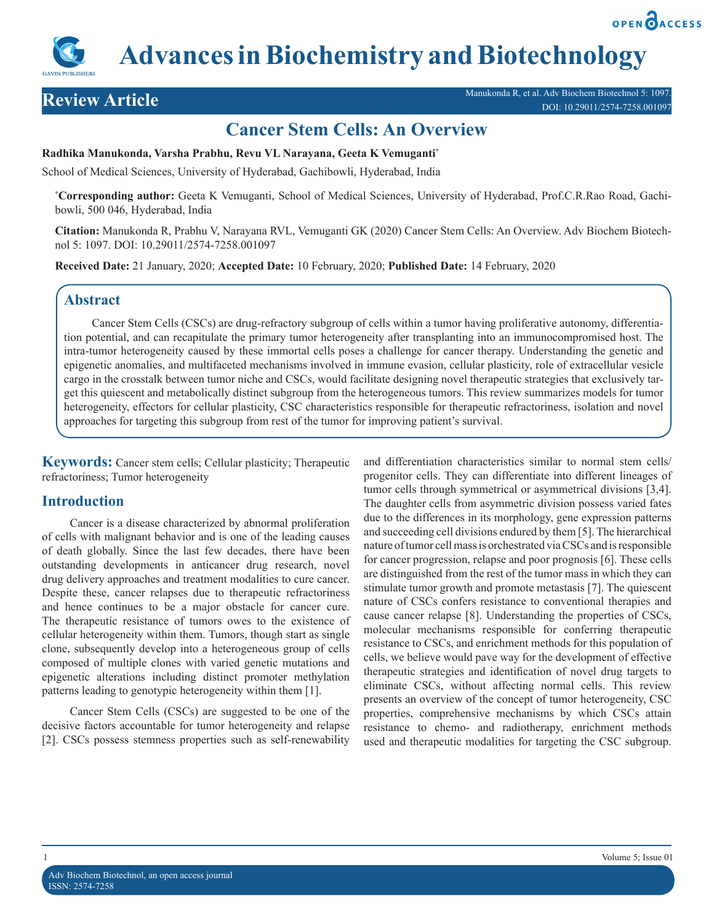**OPEN PACCESS** 



# **Cancer Stem Cells: An Overview**

### **Radhika Manukonda, Varsha Prabhu, Revu VL Narayana, Geeta K Vemuganti\***

School of Medical Sciences, University of Hyderabad, Gachibowli, Hyderabad, India

**\* Corresponding author:** Geeta K Vemuganti, School of Medical Sciences, University of Hyderabad, Prof.C.R.Rao Road, Gachibowli, 500 046, Hyderabad, India

**Citation:** Manukonda R, Prabhu V, Narayana RVL, Vemuganti GK (2020) Cancer Stem Cells: An Overview. Adv Biochem Biotechnol 5: 1097. DOI: 10.29011/2574-7258.001097

**Received Date:** 21 January, 2020; **Accepted Date:** 10 February, 2020; **Published Date:** 14 February, 2020

# **Abstract**

Cancer Stem Cells (CSCs) are drug-refractory subgroup of cells within a tumor having proliferative autonomy, differentiation potential, and can recapitulate the primary tumor heterogeneity after transplanting into an immunocompromised host. The intra-tumor heterogeneity caused by these immortal cells poses a challenge for cancer therapy. Understanding the genetic and epigenetic anomalies, and multifaceted mechanisms involved in immune evasion, cellular plasticity, role of extracellular vesicle cargo in the crosstalk between tumor niche and CSCs, would facilitate designing novel therapeutic strategies that exclusively target this quiescent and metabolically distinct subgroup from the heterogeneous tumors. This review summarizes models for tumor heterogeneity, effectors for cellular plasticity, CSC characteristics responsible for therapeutic refractoriness, isolation and novel approaches for targeting this subgroup from rest of the tumor for improving patient's survival.

**Keywords:** Cancer stem cells; Cellular plasticity; Therapeutic refractoriness; Tumor heterogeneity

# **Introduction**

Cancer is a disease characterized by abnormal proliferation of cells with malignant behavior and is one of the leading causes of death globally. Since the last few decades, there have been outstanding developments in anticancer drug research, novel drug delivery approaches and treatment modalities to cure cancer. Despite these, cancer relapses due to therapeutic refractoriness and hence continues to be a major obstacle for cancer cure. The therapeutic resistance of tumors owes to the existence of cellular heterogeneity within them. Tumors, though start as single clone, subsequently develop into a heterogeneous group of cells composed of multiple clones with varied genetic mutations and epigenetic alterations including distinct promoter methylation patterns leading to genotypic heterogeneity within them [1].

Cancer Stem Cells (CSCs) are suggested to be one of the decisive factors accountable for tumor heterogeneity and relapse [2]. CSCs possess stemness properties such as self-renewability and differentiation characteristics similar to normal stem cells/ progenitor cells. They can differentiate into different lineages of tumor cells through symmetrical or asymmetrical divisions [3,4]. The daughter cells from asymmetric division possess varied fates due to the differences in its morphology, gene expression patterns and succeeding cell divisions endured by them [5]. The hierarchical nature of tumor cell mass is orchestrated via CSCs and is responsible for cancer progression, relapse and poor prognosis [6]. These cells are distinguished from the rest of the tumor mass in which they can stimulate tumor growth and promote metastasis [7]. The quiescent nature of CSCs confers resistance to conventional therapies and cause cancer relapse [8]. Understanding the properties of CSCs, molecular mechanisms responsible for conferring therapeutic resistance to CSCs, and enrichment methods for this population of cells, we believe would pave way for the development of effective therapeutic strategies and identification of novel drug targets to eliminate CSCs, without affecting normal cells. This review presents an overview of the concept of tumor heterogeneity, CSC properties, comprehensive mechanisms by which CSCs attain resistance to chemo- and radiotherapy, enrichment methods used and therapeutic modalities for targeting the CSC subgroup.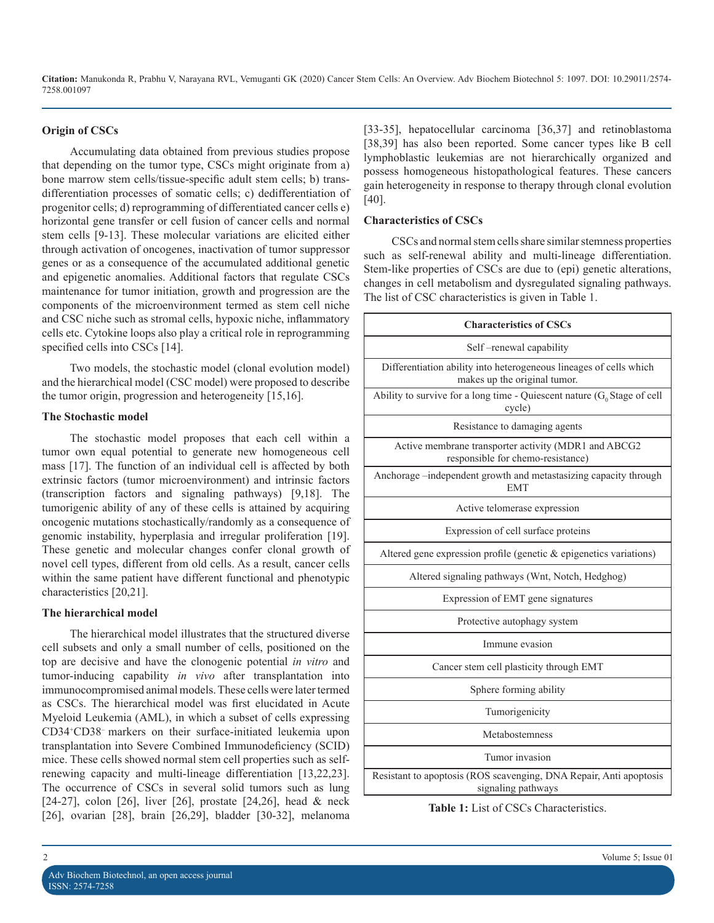#### **Origin of CSCs**

Accumulating data obtained from previous studies propose that depending on the tumor type, CSCs might originate from a) bone marrow stem cells/tissue-specific adult stem cells; b) transdifferentiation processes of somatic cells; c) dedifferentiation of progenitor cells; d) reprogramming of differentiated cancer cells e) horizontal gene transfer or cell fusion of cancer cells and normal stem cells [9-13]. These molecular variations are elicited either through activation of oncogenes, inactivation of tumor suppressor genes or as a consequence of the accumulated additional genetic and epigenetic anomalies. Additional factors that regulate CSCs maintenance for tumor initiation, growth and progression are the components of the microenvironment termed as stem cell niche and CSC niche such as stromal cells, hypoxic niche, inflammatory cells etc. Cytokine loops also play a critical role in reprogramming specified cells into CSCs [14].

Two models, the stochastic model (clonal evolution model) and the hierarchical model (CSC model) were proposed to describe the tumor origin, progression and heterogeneity [15,16].

#### **The Stochastic model**

The stochastic model proposes that each cell within a tumor own equal potential to generate new homogeneous cell mass [17]. The function of an individual cell is affected by both extrinsic factors (tumor microenvironment) and intrinsic factors (transcription factors and signaling pathways) [9,18]. The tumorigenic ability of any of these cells is attained by acquiring oncogenic mutations stochastically/randomly as a consequence of genomic instability, hyperplasia and irregular proliferation [19]. These genetic and molecular changes confer clonal growth of novel cell types, different from old cells. As a result, cancer cells within the same patient have different functional and phenotypic characteristics [20,21].

#### **The hierarchical model**

The hierarchical model illustrates that the structured diverse cell subsets and only a small number of cells, positioned on the top are decisive and have the clonogenic potential *in vitro* and tumor-inducing capability *in vivo* after transplantation into immunocompromised animal models. These cells were later termed as CSCs. The hierarchical model was first elucidated in Acute Myeloid Leukemia (AML), in which a subset of cells expressing CD34+ CD38– markers on their surface-initiated leukemia upon transplantation into Severe Combined Immunodeficiency (SCID) mice. These cells showed normal stem cell properties such as selfrenewing capacity and multi-lineage differentiation [13,22,23]. The occurrence of CSCs in several solid tumors such as lung [24-27], colon [26], liver [26], prostate [24,26], head & neck [26], ovarian [28], brain [26,29], bladder [30-32], melanoma

[33-35], hepatocellular carcinoma [36,37] and retinoblastoma [38,39] has also been reported. Some cancer types like B cell lymphoblastic leukemias are not hierarchically organized and possess homogeneous histopathological features. These cancers gain heterogeneity in response to therapy through clonal evolution [40].

#### **Characteristics of CSCs**

CSCs and normal stem cells share similar stemness properties such as self-renewal ability and multi-lineage differentiation. Stem-like properties of CSCs are due to (epi) genetic alterations, changes in cell metabolism and dysregulated signaling pathways. The list of CSC characteristics is given in Table 1.

| <b>Characteristics of CSCs</b>                                                                     |  |  |
|----------------------------------------------------------------------------------------------------|--|--|
| Self-renewal capability                                                                            |  |  |
| Differentiation ability into heterogeneous lineages of cells which<br>makes up the original tumor. |  |  |
| Ability to survive for a long time - Quiescent nature $(G_0$ Stage of cell<br>cycle)               |  |  |
| Resistance to damaging agents                                                                      |  |  |
| Active membrane transporter activity (MDR1 and ABCG2<br>responsible for chemo-resistance)          |  |  |
| Anchorage -independent growth and metastasizing capacity through<br><b>EMT</b>                     |  |  |
| Active telomerase expression                                                                       |  |  |
| Expression of cell surface proteins                                                                |  |  |
| Altered gene expression profile (genetic & epigenetics variations)                                 |  |  |
| Altered signaling pathways (Wnt, Notch, Hedghog)                                                   |  |  |
| Expression of EMT gene signatures                                                                  |  |  |
| Protective autophagy system                                                                        |  |  |
| Immune evasion                                                                                     |  |  |
| Cancer stem cell plasticity through EMT                                                            |  |  |
| Sphere forming ability                                                                             |  |  |
| Tumorigenicity                                                                                     |  |  |
| Metabostemness                                                                                     |  |  |
| Tumor invasion                                                                                     |  |  |
| Resistant to apoptosis (ROS scavenging, DNA Repair, Anti apoptosis<br>signaling pathways           |  |  |

**Table 1:** List of CSCs Characteristics.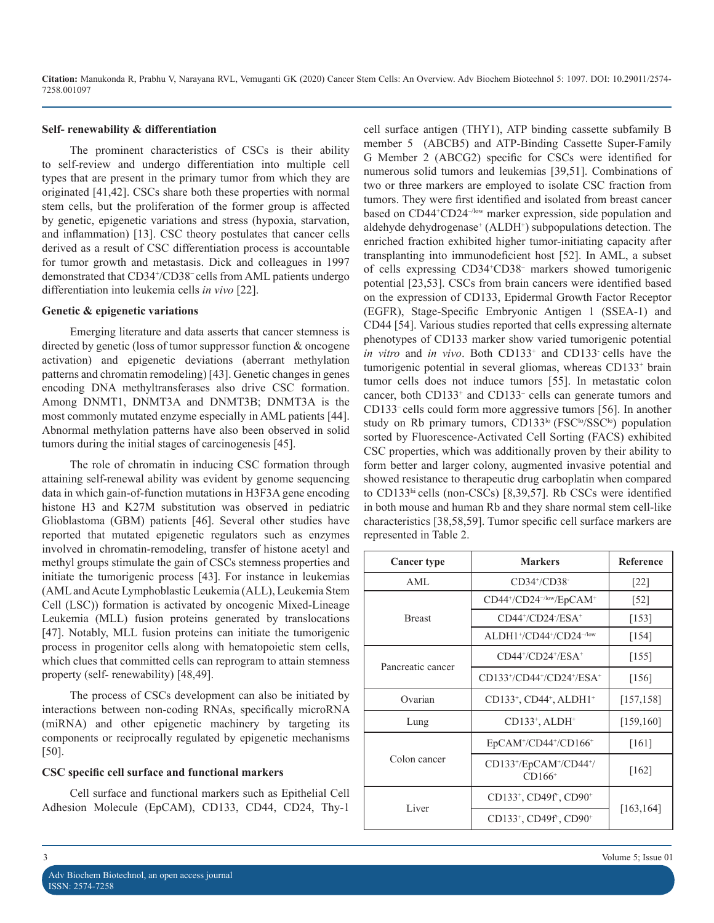#### **Self- renewability & differentiation**

The prominent characteristics of CSCs is their ability to self-review and undergo differentiation into multiple cell types that are present in the primary tumor from which they are originated [41,42]. CSCs share both these properties with normal stem cells, but the proliferation of the former group is affected by genetic, epigenetic variations and stress (hypoxia, starvation, and inflammation) [13]. CSC theory postulates that cancer cells derived as a result of CSC differentiation process is accountable for tumor growth and metastasis. Dick and colleagues in 1997 demonstrated that CD34+ /CD38<sup>−</sup>cells from AML patients undergo differentiation into leukemia cells *in vivo* [22].

#### **Genetic & epigenetic variations**

Emerging literature and data asserts that cancer stemness is directed by genetic (loss of tumor suppressor function & oncogene activation) and epigenetic deviations (aberrant methylation patterns and chromatin remodeling) [43]. Genetic changes in genes encoding DNA methyltransferases also drive CSC formation. Among DNMT1, DNMT3A and DNMT3B; DNMT3A is the most commonly mutated enzyme especially in AML patients [44]. Abnormal methylation patterns have also been observed in solid tumors during the initial stages of carcinogenesis [45].

The role of chromatin in inducing CSC formation through attaining self-renewal ability was evident by genome sequencing data in which gain-of-function mutations in H3F3A gene encoding histone H3 and K27M substitution was observed in pediatric Glioblastoma (GBM) patients [46]. Several other studies have reported that mutated epigenetic regulators such as enzymes involved in chromatin-remodeling, transfer of histone acetyl and methyl groups stimulate the gain of CSCs stemness properties and initiate the tumorigenic process [43]. For instance in leukemias (AML and Acute Lymphoblastic Leukemia (ALL), Leukemia Stem Cell (LSC)) formation is activated by oncogenic Mixed-Lineage Leukemia (MLL) fusion proteins generated by translocations [47]. Notably, MLL fusion proteins can initiate the tumorigenic process in progenitor cells along with hematopoietic stem cells, which clues that committed cells can reprogram to attain stemness property (self- renewability) [48,49].

The process of CSCs development can also be initiated by interactions between non-coding RNAs, specifically microRNA (miRNA) and other epigenetic machinery by targeting its components or reciprocally regulated by epigenetic mechanisms [50].

#### **CSC specific cell surface and functional markers**

Cell surface and functional markers such as Epithelial Cell Adhesion Molecule (EpCAM), CD133, CD44, CD24, Thy-1

cell surface antigen (THY1), ATP binding cassette subfamily B member 5 (ABCB5) and ATP-Binding Cassette Super-Family G Member 2 (ABCG2) specific for CSCs were identified for numerous solid tumors and leukemias [39,51]. Combinations of two or three markers are employed to isolate CSC fraction from tumors. They were first identified and isolated from breast cancer based on CD44<sup>+</sup>CD24<sup>-/low</sup> marker expression, side population and aldehyde dehydrogenase<sup>+</sup> (ALDH<sup>+</sup>) subpopulations detection. The enriched fraction exhibited higher tumor-initiating capacity after transplanting into immunodeficient host [52]. In AML, a subset of cells expressing CD34+ CD38– markers showed tumorigenic potential [23,53]. CSCs from brain cancers were identified based on the expression of CD133, Epidermal Growth Factor Receptor (EGFR), Stage-Specific Embryonic Antigen 1 (SSEA-1) and CD44 [54]. Various studies reported that cells expressing alternate phenotypes of CD133 marker show varied tumorigenic potential *in vitro* and *in vivo*. Both CD133<sup>+</sup> and CD133<sup>-</sup> cells have the tumorigenic potential in several gliomas, whereas CD133+ brain tumor cells does not induce tumors [55]. In metastatic colon cancer, both CD133+ and CD133– cells can generate tumors and CD133– cells could form more aggressive tumors [56]. In another study on Rb primary tumors, CD133<sup>lo</sup> (FSC<sup>lo</sup>/SSC<sup>lo</sup>) population sorted by Fluorescence-Activated Cell Sorting (FACS) exhibited CSC properties, which was additionally proven by their ability to form better and larger colony, augmented invasive potential and showed resistance to therapeutic drug carboplatin when compared to CD133hi cells (non-CSCs) [8,39,57]. Rb CSCs were identified in both mouse and human Rb and they share normal stem cell-like characteristics [38,58,59]. Tumor specific cell surface markers are represented in Table 2.

| <b>Cancer type</b> | <b>Markers</b>                                              | <b>Reference</b>   |
|--------------------|-------------------------------------------------------------|--------------------|
| AML                | $CD34+/CD38$                                                | $\lceil 22 \rceil$ |
| <b>Breast</b>      | $CD44+/CD24^{-/low}/EpCAM^+$                                | $[52]$             |
|                    | $CD44+/CD24+/ESA+$                                          | [153]              |
|                    | $ALDH1+/CD44+/CD24^{-/low}$                                 | [154]              |
| Pancreatic cancer  | $CD44+/CD24+/ESA+$                                          | [155]              |
|                    | CD133+/CD44+/CD24+/ESA+                                     | [156]              |
| Ovarian            | $CD133^+$ , $CD44^+$ , $ALDH1^+$                            | [157, 158]         |
| Lung               | $CD133^*$ , ALDH <sup>+</sup>                               | [159, 160]         |
| Colon cancer       | $EpCAM+/CD44+/CD166+$                                       | [161]              |
|                    | $CD133+/EpCAM+/CD44+/$<br>$CD166+$                          | [162]              |
| Liver              | CD133 <sup>+</sup> , CD49f <sup>+</sup> , CD90 <sup>+</sup> |                    |
|                    | CD133 <sup>+</sup> , CD49f <sup>+</sup> , CD90 <sup>+</sup> | [163, 164]         |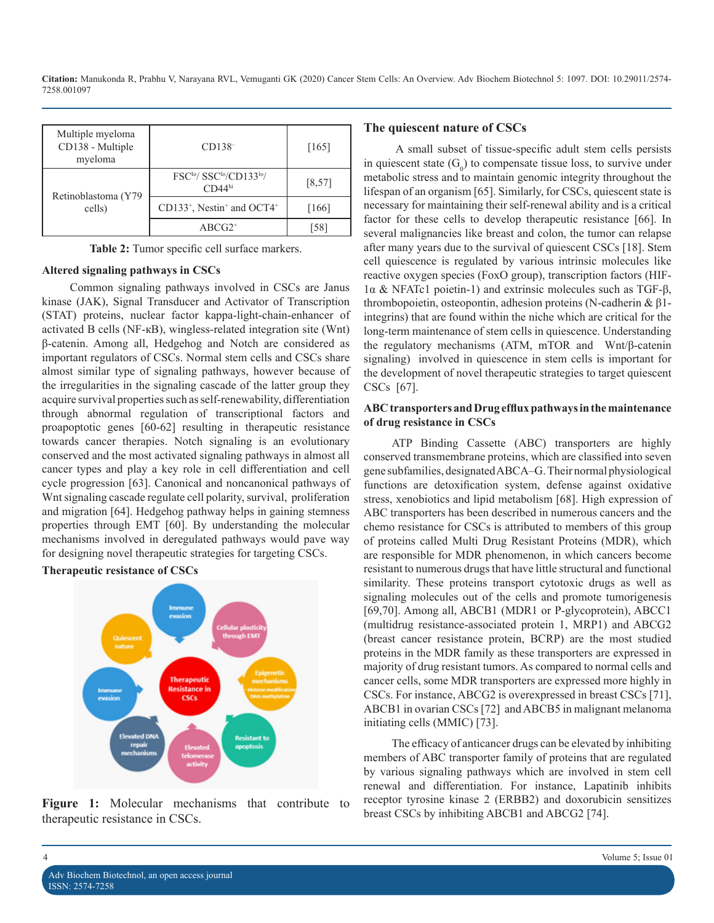| Multiple myeloma<br>CD138 - Multiple<br>myeloma | $CD138-$                                                                           | [165]   |
|-------------------------------------------------|------------------------------------------------------------------------------------|---------|
| Retinoblastoma (Y79<br>cells)                   | FSC <sup>lo</sup> / SSC <sup>lo</sup> /CD133 <sup>lo</sup> /<br>CD44 <sup>hi</sup> | [8, 57] |
|                                                 | CD133 <sup>+</sup> , Nestin <sup>+</sup> and OCT4 <sup>+</sup>                     | $[166]$ |
|                                                 | $ABCG2^+$                                                                          |         |

**Table 2:** Tumor specific cell surface markers.

#### **Altered signaling pathways in CSCs**

Common signaling pathways involved in CSCs are Janus kinase (JAK), Signal Transducer and Activator of Transcription (STAT) proteins, nuclear factor kappa-light-chain-enhancer of activated B cells (NF-кB), wingless-related integration site (Wnt) β-catenin. Among all, Hedgehog and Notch are considered as important regulators of CSCs. Normal stem cells and CSCs share almost similar type of signaling pathways, however because of the irregularities in the signaling cascade of the latter group they acquire survival properties such as self-renewability, differentiation through abnormal regulation of transcriptional factors and proapoptotic genes [60-62] resulting in therapeutic resistance towards cancer therapies. Notch signaling is an evolutionary conserved and the most activated signaling pathways in almost all cancer types and play a key role in cell differentiation and cell cycle progression [63]. Canonical and noncanonical pathways of Wnt signaling cascade regulate cell polarity, survival, proliferation and migration [64]. Hedgehog pathway helps in gaining stemness properties through EMT [60]. By understanding the molecular mechanisms involved in deregulated pathways would pave way for designing novel therapeutic strategies for targeting CSCs.

## **Therapeutic resistance of CSCs**



**Figure 1:** Molecular mechanisms that contribute to therapeutic resistance in CSCs.

#### **The quiescent nature of CSCs**

 A small subset of tissue-specific adult stem cells persists in quiescent state  $(G_0)$  to compensate tissue loss, to survive under metabolic stress and to maintain genomic integrity throughout the lifespan of an organism [65]. Similarly, for CSCs, quiescent state is necessary for maintaining their self-renewal ability and is a critical factor for these cells to develop therapeutic resistance [66]. In several malignancies like breast and colon, the tumor can relapse after many years due to the survival of quiescent CSCs [18]. Stem cell quiescence is regulated by various intrinsic molecules like reactive oxygen species (FoxO group), transcription factors (HIF-1α & NFATc1 poietin-1) and extrinsic molecules such as TGF-β, thrombopoietin, osteopontin, adhesion proteins (N-cadherin & β1 integrins) that are found within the niche which are critical for the long-term maintenance of stem cells in quiescence. Understanding the regulatory mechanisms (ATM, mTOR and Wnt/β-catenin signaling) involved in quiescence in stem cells is important for the development of novel therapeutic strategies to target quiescent CSCs [67].

#### **ABC transporters and Drug efflux pathways in the maintenance of drug resistance in CSCs**

ATP Binding Cassette (ABC) transporters are highly conserved transmembrane proteins, which are classified into seven gene subfamilies, designated ABCA–G. Their normal physiological functions are detoxification system, defense against oxidative stress, xenobiotics and lipid metabolism [68]. High expression of ABC transporters has been described in numerous cancers and the chemo resistance for CSCs is attributed to members of this group of proteins called Multi Drug Resistant Proteins (MDR), which are responsible for MDR phenomenon, in which cancers become resistant to numerous drugs that have little structural and functional similarity. These proteins transport cytotoxic drugs as well as signaling molecules out of the cells and promote tumorigenesis [69,70]. Among all, ABCB1 (MDR1 or P-glycoprotein), ABCC1 (multidrug resistance-associated protein 1, MRP1) and ABCG2 (breast cancer resistance protein, BCRP) are the most studied proteins in the MDR family as these transporters are expressed in majority of drug resistant tumors. As compared to normal cells and cancer cells, some MDR transporters are expressed more highly in CSCs. For instance, ABCG2 is overexpressed in breast CSCs [71], ABCB1 in ovarian CSCs [72] and ABCB5 in malignant melanoma initiating cells (MMIC) [73].

The efficacy of anticancer drugs can be elevated by inhibiting members of ABC transporter family of proteins that are regulated by various signaling pathways which are involved in stem cell renewal and differentiation. For instance, Lapatinib inhibits receptor tyrosine kinase 2 (ERBB2) and doxorubicin sensitizes breast CSCs by inhibiting ABCB1 and ABCG2 [74].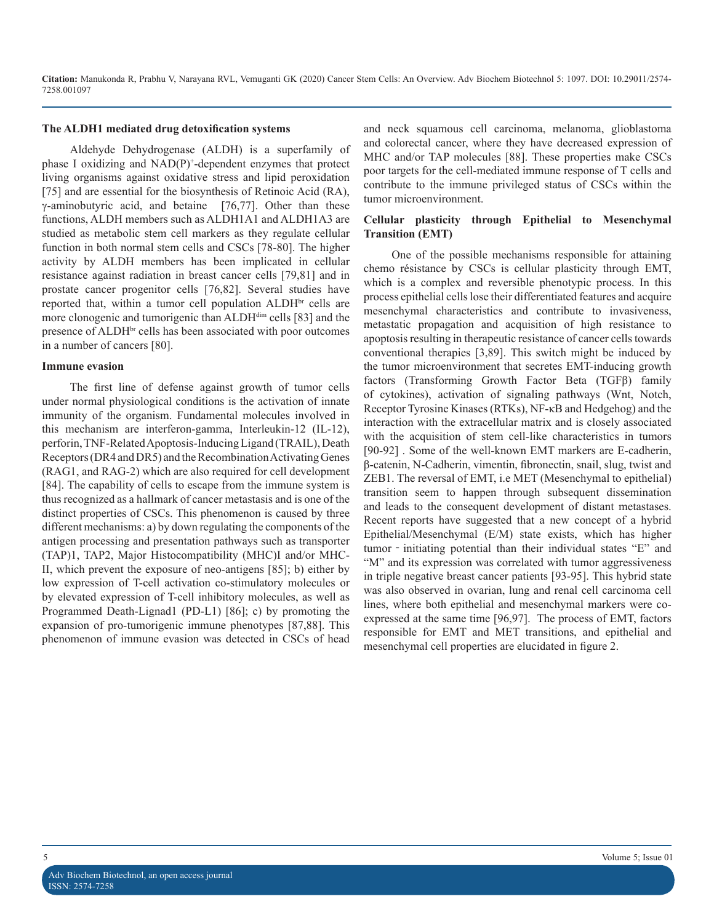#### **The ALDH1 mediated drug detoxification systems**

Aldehyde Dehydrogenase (ALDH) is a superfamily of phase I oxidizing and NAD(P)+ -dependent enzymes that protect living organisms against oxidative stress and lipid peroxidation [75] and are essential for the biosynthesis of Retinoic Acid (RA), γ-aminobutyric acid, and betaine [76,77]. Other than these functions, ALDH members such as ALDH1A1 and ALDH1A3 are studied as metabolic stem cell markers as they regulate cellular function in both normal stem cells and CSCs [78-80]. The higher activity by ALDH members has been implicated in cellular resistance against radiation in breast cancer cells [79,81] and in prostate cancer progenitor cells [76,82]. Several studies have reported that, within a tumor cell population ALDH<sup>br</sup> cells are more clonogenic and tumorigenic than ALDH<sup>dim</sup> cells [83] and the presence of ALDHbr cells has been associated with poor outcomes in a number of cancers [80].

#### **Immune evasion**

The first line of defense against growth of tumor cells under normal physiological conditions is the activation of innate immunity of the organism. Fundamental molecules involved in this mechanism are interferon-gamma, Interleukin-12 (IL-12), perforin, TNF-Related Apoptosis-Inducing Ligand (TRAIL), Death Receptors (DR4 and DR5) and the Recombination Activating Genes (RAG1, and RAG-2) which are also required for cell development [84]. The capability of cells to escape from the immune system is thus recognized as a hallmark of cancer metastasis and is one of the distinct properties of CSCs. This phenomenon is caused by three different mechanisms: a) by down regulating the components of the antigen processing and presentation pathways such as transporter (TAP)1, TAP2, Major Histocompatibility (MHC)I and/or MHC-II, which prevent the exposure of neo-antigens [85]; b) either by low expression of T-cell activation co-stimulatory molecules or by elevated expression of T-cell inhibitory molecules, as well as Programmed Death-Lignad1 (PD-L1) [86]; c) by promoting the expansion of pro-tumorigenic immune phenotypes [87,88]. This phenomenon of immune evasion was detected in CSCs of head

and neck squamous cell carcinoma, melanoma, glioblastoma and colorectal cancer, where they have decreased expression of MHC and/or TAP molecules [88]. These properties make CSCs poor targets for the cell-mediated immune response of T cells and contribute to the immune privileged status of CSCs within the tumor microenvironment.

### **Cellular plasticity through Epithelial to Mesenchymal Transition (EMT)**

One of the possible mechanisms responsible for attaining chemo résistance by CSCs is cellular plasticity through EMT, which is a complex and reversible phenotypic process. In this process epithelial cells lose their differentiated features and acquire mesenchymal characteristics and contribute to invasiveness, metastatic propagation and acquisition of high resistance to apoptosis resulting in therapeutic resistance of cancer cells towards conventional therapies [3,89]. This switch might be induced by the tumor microenvironment that secretes EMT-inducing growth factors (Transforming Growth Factor Beta (TGFβ) family of cytokines), activation of signaling pathways (Wnt, Notch, Receptor Tyrosine Kinases (RTKs), NF-κB and Hedgehog) and the interaction with the extracellular matrix and is closely associated with the acquisition of stem cell-like characteristics in tumors [90-92]. Some of the well-known EMT markers are E-cadherin, β-catenin, N-Cadherin, vimentin, fibronectin, snail, slug, twist and ZEB1. The reversal of EMT, i.e MET (Mesenchymal to epithelial) transition seem to happen through subsequent dissemination and leads to the consequent development of distant metastases. Recent reports have suggested that a new concept of a hybrid Epithelial/Mesenchymal (E/M) state exists, which has higher tumor - initiating potential than their individual states "E" and "M" and its expression was correlated with tumor aggressiveness in triple negative breast cancer patients [93-95]. This hybrid state was also observed in ovarian, lung and renal cell carcinoma cell lines, where both epithelial and mesenchymal markers were coexpressed at the same time [96,97]. The process of EMT, factors responsible for EMT and MET transitions, and epithelial and mesenchymal cell properties are elucidated in figure 2.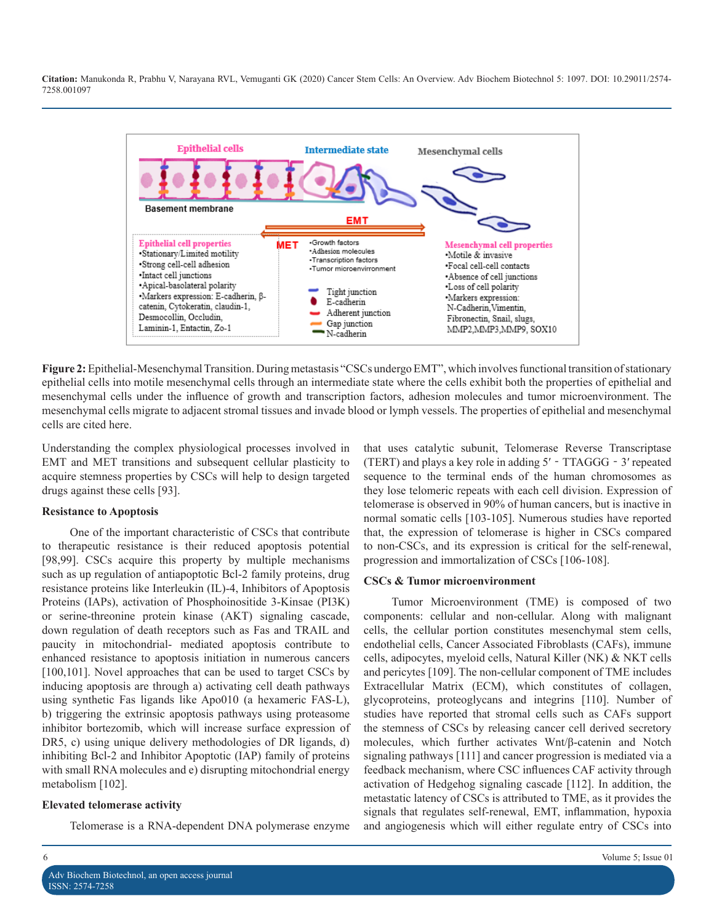

**Figure 2:** Epithelial-Mesenchymal Transition. During metastasis "CSCs undergo EMT", which involves functional transition of stationary epithelial cells into motile mesenchymal cells through an intermediate state where the cells exhibit both the properties of epithelial and mesenchymal cells under the influence of growth and transcription factors, adhesion molecules and tumor microenvironment. The mesenchymal cells migrate to adjacent stromal tissues and invade blood or lymph vessels. The properties of epithelial and mesenchymal cells are cited here.

Understanding the complex physiological processes involved in EMT and MET transitions and subsequent cellular plasticity to acquire stemness properties by CSCs will help to design targeted drugs against these cells [93].

#### **Resistance to Apoptosis**

One of the important characteristic of CSCs that contribute to therapeutic resistance is their reduced apoptosis potential [98,99]. CSCs acquire this property by multiple mechanisms such as up regulation of antiapoptotic Bcl-2 family proteins, drug resistance proteins like Interleukin (IL)-4, Inhibitors of Apoptosis Proteins (IAPs), activation of Phosphoinositide 3-Kinsae (PI3K) or serine-threonine protein kinase (AKT) signaling cascade, down regulation of death receptors such as Fas and TRAIL and paucity in mitochondrial- mediated apoptosis contribute to enhanced resistance to apoptosis initiation in numerous cancers [100,101]. Novel approaches that can be used to target CSCs by inducing apoptosis are through a) activating cell death pathways using synthetic Fas ligands like Apo010 (a hexameric FAS-L), b) triggering the extrinsic apoptosis pathways using proteasome inhibitor bortezomib, which will increase surface expression of DR5, c) using unique delivery methodologies of DR ligands, d) inhibiting Bcl-2 and Inhibitor Apoptotic (IAP) family of proteins with small RNA molecules and e) disrupting mitochondrial energy metabolism [102].

#### **Elevated telomerase activity**

Telomerase is a RNA-dependent DNA polymerase enzyme

that uses catalytic subunit, Telomerase Reverse Transcriptase (TERT) and plays a key role in adding 5′‐TTAGGG‐3′ repeated sequence to the terminal ends of the human chromosomes as they lose telomeric repeats with each cell division. Expression of telomerase is observed in 90% of human cancers, but is inactive in normal somatic cells [103-105]. Numerous studies have reported that, the expression of telomerase is higher in CSCs compared to non-CSCs, and its expression is critical for the self-renewal, progression and immortalization of CSCs [106-108].

#### **CSCs & Tumor microenvironment**

Tumor Microenvironment (TME) is composed of two components: cellular and non-cellular. Along with malignant cells, the cellular portion constitutes mesenchymal stem cells, endothelial cells, Cancer Associated Fibroblasts (CAFs), immune cells, adipocytes, myeloid cells, Natural Killer (NK) & NKT cells and pericytes [109]. The non-cellular component of TME includes Extracellular Matrix (ECM), which constitutes of collagen, glycoproteins, proteoglycans and integrins [110]. Number of studies have reported that stromal cells such as CAFs support the stemness of CSCs by releasing cancer cell derived secretory molecules, which further activates Wnt/β-catenin and Notch signaling pathways [111] and cancer progression is mediated via a feedback mechanism, where CSC influences CAF activity through activation of Hedgehog signaling cascade [112]. In addition, the metastatic latency of CSCs is attributed to TME, as it provides the signals that regulates self-renewal, EMT, inflammation, hypoxia and angiogenesis which will either regulate entry of CSCs into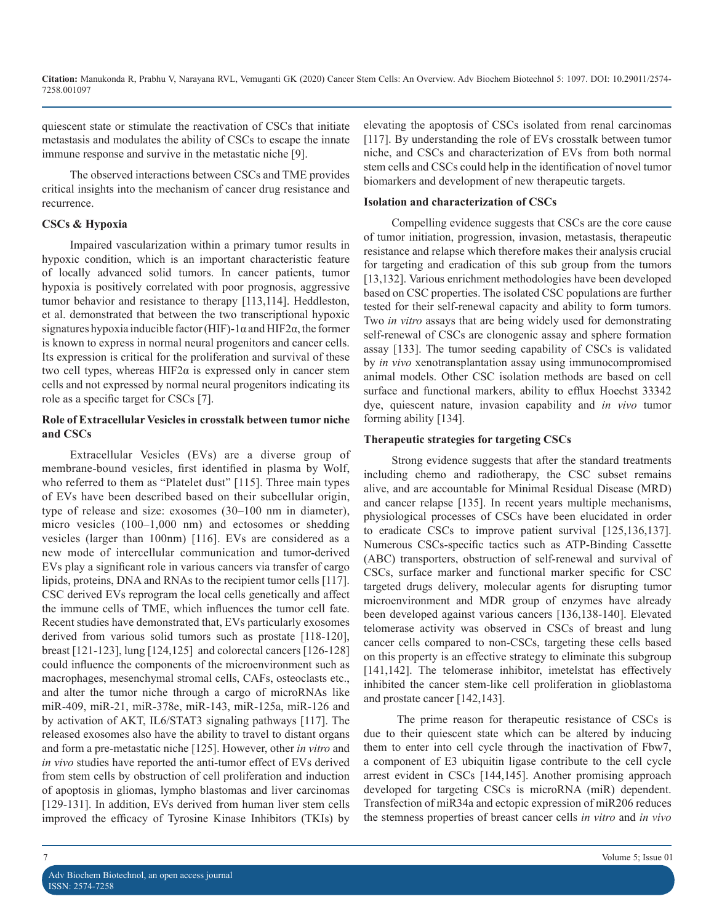quiescent state or stimulate the reactivation of CSCs that initiate metastasis and modulates the ability of CSCs to escape the innate immune response and survive in the metastatic niche [9].

The observed interactions between CSCs and TME provides critical insights into the mechanism of cancer drug resistance and recurrence.

#### **CSCs & Hypoxia**

Impaired vascularization within a primary tumor results in hypoxic condition, which is an important characteristic feature of locally advanced solid tumors. In cancer patients, tumor hypoxia is positively correlated with poor prognosis, aggressive tumor behavior and resistance to therapy [113,114]. Heddleston, et al. demonstrated that between the two transcriptional hypoxic signatures hypoxia inducible factor (HIF)-1 $\alpha$  and HIF2 $\alpha$ , the former is known to express in normal neural progenitors and cancer cells. Its expression is critical for the proliferation and survival of these two cell types, whereas HIF2α is expressed only in cancer stem cells and not expressed by normal neural progenitors indicating its role as a specific target for CSCs [7].

### **Role of Extracellular Vesicles in crosstalk between tumor niche and CSCs**

Extracellular Vesicles (EVs) are a diverse group of membrane-bound vesicles, first identified in plasma by Wolf, who referred to them as "Platelet dust" [115]. Three main types of EVs have been described based on their subcellular origin, type of release and size: exosomes (30–100 nm in diameter), micro vesicles (100–1,000 nm) and ectosomes or shedding vesicles (larger than 100nm) [116]. EVs are considered as a new mode of intercellular communication and tumor-derived EVs play a significant role in various cancers via transfer of cargo lipids, proteins, DNA and RNAs to the recipient tumor cells [117]. CSC derived EVs reprogram the local cells genetically and affect the immune cells of TME, which influences the tumor cell fate. Recent studies have demonstrated that, EVs particularly exosomes derived from various solid tumors such as prostate [118-120], breast [121-123], lung [124,125] and colorectal cancers [126-128] could influence the components of the microenvironment such as macrophages, mesenchymal stromal cells, CAFs, osteoclasts etc., and alter the tumor niche through a cargo of microRNAs like miR-409, miR-21, miR-378e, miR-143, miR-125a, miR-126 and by activation of AKT, IL6/STAT3 signaling pathways [117]. The released exosomes also have the ability to travel to distant organs and form a pre-metastatic niche [125]. However, other *in vitro* and *in vivo* studies have reported the anti-tumor effect of EVs derived from stem cells by obstruction of cell proliferation and induction of apoptosis in gliomas, lympho blastomas and liver carcinomas [129-131]. In addition, EVs derived from human liver stem cells improved the efficacy of Tyrosine Kinase Inhibitors (TKIs) by

elevating the apoptosis of CSCs isolated from renal carcinomas [117]. By understanding the role of EVs crosstalk between tumor niche, and CSCs and characterization of EVs from both normal stem cells and CSCs could help in the identification of novel tumor biomarkers and development of new therapeutic targets.

#### **Isolation and characterization of CSCs**

Compelling evidence suggests that CSCs are the core cause of tumor initiation, progression, invasion, metastasis, therapeutic resistance and relapse which therefore makes their analysis crucial for targeting and eradication of this sub group from the tumors [13,132]. Various enrichment methodologies have been developed based on CSC properties. The isolated CSC populations are further tested for their self-renewal capacity and ability to form tumors. Two *in vitro* assays that are being widely used for demonstrating self-renewal of CSCs are clonogenic assay and sphere formation assay [133]. The tumor seeding capability of CSCs is validated by *in vivo* xenotransplantation assay using immunocompromised animal models. Other CSC isolation methods are based on cell surface and functional markers, ability to efflux Hoechst 33342 dye, quiescent nature, invasion capability and *in vivo* tumor forming ability [134].

#### **Therapeutic strategies for targeting CSCs**

Strong evidence suggests that after the standard treatments including chemo and radiotherapy, the CSC subset remains alive, and are accountable for Minimal Residual Disease (MRD) and cancer relapse [135]. In recent years multiple mechanisms, physiological processes of CSCs have been elucidated in order to eradicate CSCs to improve patient survival [125,136,137]. Numerous CSCs-specific tactics such as ATP-Binding Cassette (ABC) transporters, obstruction of self-renewal and survival of CSCs, surface marker and functional marker specific for CSC targeted drugs delivery, molecular agents for disrupting tumor microenvironment and MDR group of enzymes have already been developed against various cancers [136,138-140]. Elevated telomerase activity was observed in CSCs of breast and lung cancer cells compared to non-CSCs, targeting these cells based on this property is an effective strategy to eliminate this subgroup [141,142]. The telomerase inhibitor, imetelstat has effectively inhibited the cancer stem-like cell proliferation in glioblastoma and prostate cancer [142,143].

 The prime reason for therapeutic resistance of CSCs is due to their quiescent state which can be altered by inducing them to enter into cell cycle through the inactivation of Fbw7, a component of E3 ubiquitin ligase contribute to the cell cycle arrest evident in CSCs [144,145]. Another promising approach developed for targeting CSCs is microRNA (miR) dependent. Transfection of miR34a and ectopic expression of miR206 reduces the stemness properties of breast cancer cells *in vitro* and *in vivo*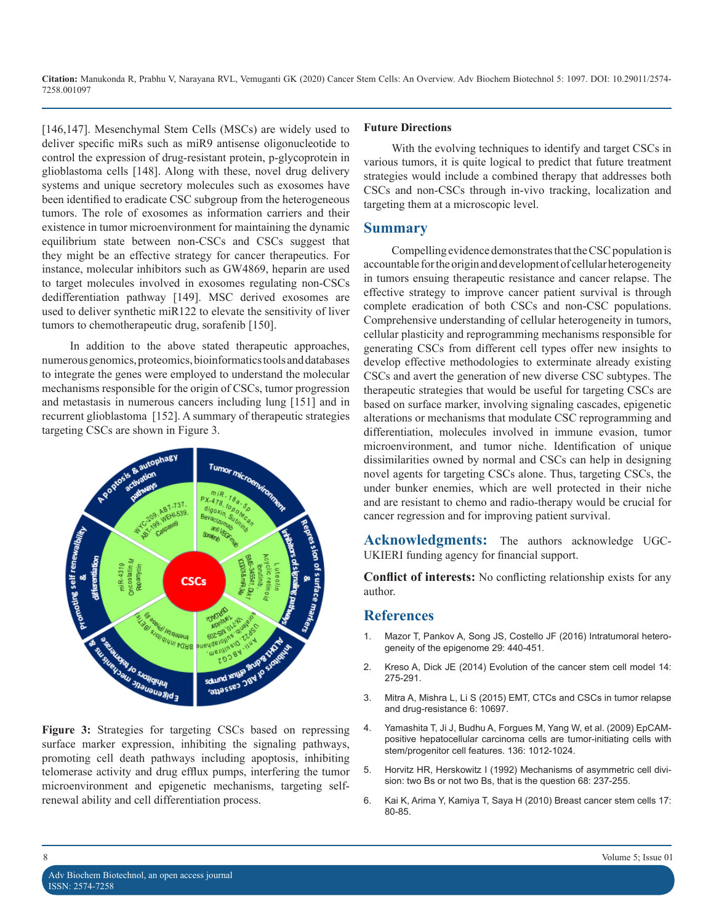[146,147]. Mesenchymal Stem Cells (MSCs) are widely used to deliver specific miRs such as miR9 antisense oligonucleotide to control the expression of drug-resistant protein, p-glycoprotein in glioblastoma cells [148]. Along with these, novel drug delivery systems and unique secretory molecules such as exosomes have been identified to eradicate CSC subgroup from the heterogeneous tumors. The role of exosomes as information carriers and their existence in tumor microenvironment for maintaining the dynamic equilibrium state between non-CSCs and CSCs suggest that they might be an effective strategy for cancer therapeutics. For instance, molecular inhibitors such as GW4869, heparin are used to target molecules involved in exosomes regulating non-CSCs dedifferentiation pathway [149]. MSC derived exosomes are used to deliver synthetic miR122 to elevate the sensitivity of liver tumors to chemotherapeutic drug, sorafenib [150].

In addition to the above stated therapeutic approaches, numerous genomics, proteomics, bioinformatics tools and databases to integrate the genes were employed to understand the molecular mechanisms responsible for the origin of CSCs, tumor progression and metastasis in numerous cancers including lung [151] and in recurrent glioblastoma [152]. A summary of therapeutic strategies targeting CSCs are shown in Figure 3.



**Figure 3:** Strategies for targeting CSCs based on repressing surface marker expression, inhibiting the signaling pathways, promoting cell death pathways including apoptosis, inhibiting telomerase activity and drug efflux pumps, interfering the tumor microenvironment and epigenetic mechanisms, targeting selfrenewal ability and cell differentiation process.

# **Future Directions**

With the evolving techniques to identify and target CSCs in various tumors, it is quite logical to predict that future treatment strategies would include a combined therapy that addresses both CSCs and non-CSCs through in-vivo tracking, localization and targeting them at a microscopic level.

### **Summary**

Compelling evidence demonstrates that the CSC population is accountable for the origin and development of cellular heterogeneity in tumors ensuing therapeutic resistance and cancer relapse. The effective strategy to improve cancer patient survival is through complete eradication of both CSCs and non-CSC populations. Comprehensive understanding of cellular heterogeneity in tumors, cellular plasticity and reprogramming mechanisms responsible for generating CSCs from different cell types offer new insights to develop effective methodologies to exterminate already existing CSCs and avert the generation of new diverse CSC subtypes. The therapeutic strategies that would be useful for targeting CSCs are based on surface marker, involving signaling cascades, epigenetic alterations or mechanisms that modulate CSC reprogramming and differentiation, molecules involved in immune evasion, tumor microenvironment, and tumor niche. Identification of unique dissimilarities owned by normal and CSCs can help in designing novel agents for targeting CSCs alone. Thus, targeting CSCs, the under bunker enemies, which are well protected in their niche and are resistant to chemo and radio-therapy would be crucial for cancer regression and for improving patient survival.

**Acknowledgments:** The authors acknowledge UGC-UKIERI funding agency for financial support.

**Conflict of interests:** No conflicting relationship exists for any author.

# **References**

- 1. [Mazor T, Pankov A, Song JS, Costello JF \(2016\) Intratumoral hetero](https://www.ncbi.nlm.nih.gov/pubmed/27070699)geneity of the epigenome 29: 440-451[.](https://www.ncbi.nlm.nih.gov/pubmed/27070699)
- 2. [Kreso A, Dick JE \(2014\) Evolution of the cancer stem cell model 14:](https://www.ncbi.nlm.nih.gov/pubmed/24607403)  275-291.
- 3. [Mitra A, Mishra L, Li S \(2015\) EMT, CTCs and CSCs in tumor relapse](https://www.ncbi.nlm.nih.gov/pubmed/25986923)  and drug-resistance 6: 10697.
- 4. [Yamashita T, Ji J, Budhu A, Forgues M, Yang W, et al. \(2009\) EpCAM](https://www.ncbi.nlm.nih.gov/pubmed/19150350)positive hepatocellular carcinoma cells are tumor-initiating cells with [stem/progenitor cell features. 136: 1012-1024](https://www.ncbi.nlm.nih.gov/pubmed/19150350).
- 5. [Horvitz HR, Herskowitz I \(1992\) Mechanisms of asymmetric cell divi](https://www.ncbi.nlm.nih.gov/pubmed/1733500)sion: two Bs or not two Bs, that is the question 68: 237-255.
- 6. [Kai K, Arima Y, Kamiya T, Saya H \(2010\) Breast cancer stem cells 17:](https://www.ncbi.nlm.nih.gov/pubmed/19806428)  80-85.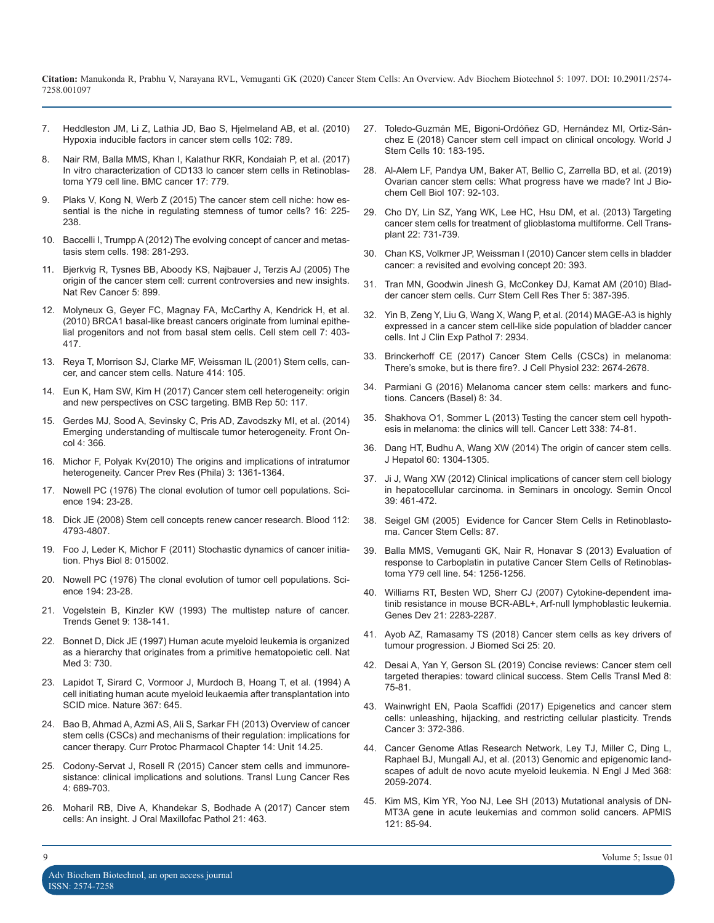- 7. [Heddleston JM, Li Z, Lathia JD, Bao S, Hjelmeland AB, et al. \(2010\)](https://www.ncbi.nlm.nih.gov/pubmed/20104230)  [Hypoxia inducible factors in cancer stem cells 102: 789.](https://www.ncbi.nlm.nih.gov/pubmed/20104230)
- 8. [Nair RM, Balla MMS, Khan I, Kalathur RKR, Kondaiah P, et al. \(2017\)](https://bmccancer.biomedcentral.com/articles/10.1186/s12885-017-3750-2)  [In vitro characterization of CD133 lo cancer stem cells in Retinoblas](https://bmccancer.biomedcentral.com/articles/10.1186/s12885-017-3750-2)[toma Y79 cell line. BMC cancer 17: 779](https://bmccancer.biomedcentral.com/articles/10.1186/s12885-017-3750-2).
- 9. [Plaks V, Kong N, Werb Z \(2015\) The cancer stem cell niche: how es](https://www.ncbi.nlm.nih.gov/pubmed/25748930)[sential is the niche in regulating stemness of tumor cells? 16: 225-](https://www.ncbi.nlm.nih.gov/pubmed/25748930) [238](https://www.ncbi.nlm.nih.gov/pubmed/25748930).
- 10. [Baccelli I, Trumpp A \(2012\) The evolving concept of cancer and metas](https://www.ncbi.nlm.nih.gov/pubmed/22869594)[tasis stem cells. 198: 281-293.](https://www.ncbi.nlm.nih.gov/pubmed/22869594)
- 11. [Bjerkvig R, Tysnes BB, Aboody KS, Najbauer J, Terzis AJ \(2005\) The](https://www.ncbi.nlm.nih.gov/pubmed/16327766)  [origin of the cancer stem cell: current controversies and new insights.](https://www.ncbi.nlm.nih.gov/pubmed/16327766)  [Nat Rev Cancer 5: 899](https://www.ncbi.nlm.nih.gov/pubmed/16327766).
- 12. [Molyneux G, Geyer FC, Magnay FA, McCarthy A, Kendrick H, et al.](https://www.ncbi.nlm.nih.gov/pubmed/20804975)  [\(2010\) BRCA1 basal-like breast cancers originate from luminal epithe](https://www.ncbi.nlm.nih.gov/pubmed/20804975)[lial progenitors and not from basal stem cells. Cell stem cell 7: 403-](https://www.ncbi.nlm.nih.gov/pubmed/20804975) [417](https://www.ncbi.nlm.nih.gov/pubmed/20804975).
- 13. [Reya T, Morrison SJ, Clarke MF, Weissman IL \(2001\) Stem cells, can](https://www.ncbi.nlm.nih.gov/pubmed/11689955)[cer, and cancer stem cells. Nature 414: 105](https://www.ncbi.nlm.nih.gov/pubmed/11689955).
- 14. [Eun K, Ham SW, Kim H \(2017\) Cancer stem cell heterogeneity: origin](https://www.ncbi.nlm.nih.gov/pubmed/27998397)  [and new perspectives on CSC targeting. BMB Rep 50: 117](https://www.ncbi.nlm.nih.gov/pubmed/27998397)[.](https://www.ncbi.nlm.nih.gov/pubmed/26978405)
- 15. [Gerdes MJ, Sood A, Sevinsky C, Pris AD, Zavodszky MI, et al. \(2014\)](https://www.ncbi.nlm.nih.gov/pmc/articles/PMC4270176/)  [Emerging understanding of multiscale tumor heterogeneity. Front On](https://www.ncbi.nlm.nih.gov/pmc/articles/PMC4270176/)[col 4: 366.](https://www.ncbi.nlm.nih.gov/pmc/articles/PMC4270176/)
- 16. [Michor F, Polyak Kv\(2010\) The origins and implications of intratumor](https://www.ncbi.nlm.nih.gov/pubmed/20959519) [heterogeneity. Cancer Prev Res \(Phila\) 3: 1361-1364.](https://www.ncbi.nlm.nih.gov/pubmed/20959519)
- 17. [Nowell PC \(1976\) The clonal evolution of tumor cell populations. Sci](https://www.ncbi.nlm.nih.gov/pubmed/959840)[ence 194: 23-28.](https://www.ncbi.nlm.nih.gov/pubmed/959840)
- 18. [Dick JE \(2008\) Stem cell concepts renew cancer research. Blood 112:](https://www.ncbi.nlm.nih.gov/pubmed/19064739)  [4793-4807](https://www.ncbi.nlm.nih.gov/pubmed/19064739).
- 19. [Foo J, Leder K, Michor F \(2011\) Stochastic dynamics of cancer initia](https://www.ncbi.nlm.nih.gov/pmc/articles/PMC3569097/)[tion. Phys Biol 8: 015002.](https://www.ncbi.nlm.nih.gov/pmc/articles/PMC3569097/)
- 20. [Nowell PC \(1976\) The clonal evolution of tumor cell populations. Sci](https://www.ncbi.nlm.nih.gov/pubmed/959840)[ence 194: 23-28.](https://www.ncbi.nlm.nih.gov/pubmed/959840)
- 21. [Vogelstein B, Kinzler KW \(1993\) The multistep nature of cancer.](https://www.ncbi.nlm.nih.gov/pubmed/8516849) [Trends Genet 9: 138-141](https://www.ncbi.nlm.nih.gov/pubmed/8516849).
- 22. [Bonnet D, Dick JE \(1997\) Human acute myeloid leukemia is organized](https://www.ncbi.nlm.nih.gov/pubmed/9212098) [as a hierarchy that originates from a primitive hematopoietic cell. Nat](https://www.ncbi.nlm.nih.gov/pubmed/9212098)  [Med 3: 730](https://www.ncbi.nlm.nih.gov/pubmed/9212098).
- 23. [Lapidot T, Sirard C, Vormoor J, Murdoch B, Hoang T, et al. \(1994\) A](https://www.ncbi.nlm.nih.gov/pubmed/7509044)  [cell initiating human acute myeloid leukaemia after transplantation into](https://www.ncbi.nlm.nih.gov/pubmed/7509044)  [SCID mice. Nature 367: 645](https://www.ncbi.nlm.nih.gov/pubmed/7509044).
- 24. [Bao B, Ahmad A, Azmi AS, Ali S, Sarkar FH \(2013\) Overview of cancer](https://www.ncbi.nlm.nih.gov/pubmed/23744710)  [stem cells \(CSCs\) and mechanisms of their regulation: implications for](https://www.ncbi.nlm.nih.gov/pubmed/23744710) [cancer therapy. Curr Protoc Pharmacol Chapter 14: Unit 14.25.](https://www.ncbi.nlm.nih.gov/pubmed/23744710)
- 25. [Codony-Servat J, Rosell R \(2015\) Cancer stem cells and immunore](https://www.ncbi.nlm.nih.gov/pubmed/26798578)[sistance: clinical implications and solutions. Transl Lung Cancer Res](https://www.ncbi.nlm.nih.gov/pubmed/26798578)  [4: 689-703](https://www.ncbi.nlm.nih.gov/pubmed/26798578).
- 26. [Moharil RB, Dive A, Khandekar S, Bodhade A \(2017\) Cancer stem](https://www.ncbi.nlm.nih.gov/pubmed/29391738) [cells: An insight. J Oral Maxillofac Pathol 21: 463.](https://www.ncbi.nlm.nih.gov/pubmed/29391738)
- 27. [Toledo-Guzmán ME, Bigoni-Ordóñez GD, Hernández MI, Ortiz-Sán](https://www.ncbi.nlm.nih.gov/pmc/articles/PMC6306557/)[chez E \(2018\) Cancer stem cell impact on clinical oncology. World J](https://www.ncbi.nlm.nih.gov/pmc/articles/PMC6306557/)  [Stem Cells 10: 183-195.](https://www.ncbi.nlm.nih.gov/pmc/articles/PMC6306557/)
- 28. [Al-Alem LF, Pandya UM, Baker AT, Bellio C, Zarrella BD, et al. \(2019\)](https://www.ncbi.nlm.nih.gov/pubmed/30572025)  [Ovarian cancer stem cells: What progress have we made? Int J Bio](https://www.ncbi.nlm.nih.gov/pubmed/30572025)[chem Cell Biol 107: 92-103](https://www.ncbi.nlm.nih.gov/pubmed/30572025).
- 29. [Cho DY, Lin SZ, Yang WK, Lee HC, Hsu DM, et al. \(2013\) Targeting](https://www.ncbi.nlm.nih.gov/pubmed/23594862)  [cancer stem cells for treatment of glioblastoma multiforme. Cell Trans](https://www.ncbi.nlm.nih.gov/pubmed/23594862)[plant 22: 731-739](https://www.ncbi.nlm.nih.gov/pubmed/23594862).
- 30. [Chan KS, Volkmer JP, Weissman I \(2010\) Cancer stem cells in bladder](https://www.ncbi.nlm.nih.gov/pubmed/20657288)  [cancer: a revisited and evolving concept 20: 393](https://www.ncbi.nlm.nih.gov/pubmed/20657288).
- 31. [Tran MN, Goodwin Jinesh G, McConkey DJ, Kamat AM \(2010\) Blad](https://www.ncbi.nlm.nih.gov/pubmed/20955163)[der cancer stem cells. Curr Stem Cell Res Ther 5: 387-395.](https://www.ncbi.nlm.nih.gov/pubmed/20955163)
- 32. [Yin B, Zeng Y, Liu G, Wang X, Wang P, et al. \(2014\) MAGE-A3 is highly](https://www.ncbi.nlm.nih.gov/pubmed/25031712) [expressed in a cancer stem cell-like side population of bladder cancer](https://www.ncbi.nlm.nih.gov/pubmed/25031712)  [cells. Int J Clin Exp Pathol 7: 2934](https://www.ncbi.nlm.nih.gov/pubmed/25031712).
- 33. [Brinckerhoff CE \(2017\) Cancer Stem Cells \(CSCs\) in melanoma:](https://www.ncbi.nlm.nih.gov/pubmed/28078710)  [There's smoke, but is there fire?. J Cell Physiol 232: 2674-267](https://www.ncbi.nlm.nih.gov/pubmed/28078710)8.
- 34. [Parmiani G \(2016\) Melanoma cancer stem cells: markers and func](https://www.ncbi.nlm.nih.gov/pubmed/26978405)tions. Cancers (Basel) 8: 34.
- 35. [Shakhova O1, Sommer L \(2013\) Testing the cancer stem cell hypoth](https://www.ncbi.nlm.nih.gov/pubmed/23073475)[esis in melanoma: the clinics will tell. Cancer Lett 338: 74-81.](https://www.ncbi.nlm.nih.gov/pubmed/23073475)
- 36. [Dang HT, Budhu A, Wang XW \(2014\) The origin of cancer stem cells.](https://www.journal-of-hepatology.eu/article/S0168-8278(14)00140-8/fulltext)  J Hepatol 60: 1304-1305.
- 37. [Ji J, Wang XW \(2012\) Clinical implications of cancer stem cell biology](https://www.ncbi.nlm.nih.gov/pubmed/22846863)  [in hepatocellular carcinoma. in Seminars in oncology. Semin Oncol](https://www.ncbi.nlm.nih.gov/pubmed/22846863)  [39: 461-472.](https://www.ncbi.nlm.nih.gov/pubmed/22846863)
- 38. [Seigel GM \(2005\) Evidence for Cancer Stem Cells in Retinoblasto](https://iovs.arvojournals.org/article.aspx?articleid=2402660)ma. [Cancer Stem Cells: 87.](https://iovs.arvojournals.org/article.aspx?articleid=2402660)
- 39. [Balla MMS, Vemuganti GK, Nair R, Honavar S \(2013\) Evaluation of](https://www.researchgate.net/publication/263011536_Evaluation_of_response_to_Carboplatin_in_putative_Cancer_Stem_Cells_of_Retinoblastoma_Y79_cell_line)  [response to Carboplatin in putative Cancer Stem Cells of Retinoblas](https://www.researchgate.net/publication/263011536_Evaluation_of_response_to_Carboplatin_in_putative_Cancer_Stem_Cells_of_Retinoblastoma_Y79_cell_line)[toma Y79 cell line. 54: 1256-1256](https://www.researchgate.net/publication/263011536_Evaluation_of_response_to_Carboplatin_in_putative_Cancer_Stem_Cells_of_Retinoblastoma_Y79_cell_line).
- 40. [Williams RT, Besten WD, Sherr CJ \(2007\) Cytokine-dependent ima](https://www.ncbi.nlm.nih.gov/pmc/articles/PMC1973142/)[tinib resistance in mouse BCR-ABL+, Arf-null lymphoblastic leukemia.](https://www.ncbi.nlm.nih.gov/pmc/articles/PMC1973142/)  [Genes Dev 21: 2283-2287.](https://www.ncbi.nlm.nih.gov/pmc/articles/PMC1973142/)
- 41. [Ayob AZ, Ramasamy TS \(2018\) Cancer stem cells as key drivers of](https://www.ncbi.nlm.nih.gov/pubmed/29506506)  tumour progression. J Biomed Sci 25: 20.
- 42. [Desai A, Yan Y, Gerson SL \(2019\) Concise reviews: Cancer stem cell](https://www.ncbi.nlm.nih.gov/pubmed/30328686)  [targeted therapies: toward clinical success. Stem Cells Transl Med 8:](https://www.ncbi.nlm.nih.gov/pubmed/30328686) [75-81](https://www.ncbi.nlm.nih.gov/pubmed/30328686).
- 43. [Wainwright EN, Paola Scaffidi \(2017\) Epigenetics and cancer stem](https://www.ncbi.nlm.nih.gov/pmc/articles/PMC5506260/) [cells: unleashing, hijacking, and restricting cellular plasticity. Trends](https://www.ncbi.nlm.nih.gov/pmc/articles/PMC5506260/)  [Cancer 3: 372-386](https://www.ncbi.nlm.nih.gov/pmc/articles/PMC5506260/).
- 44. [Cancer Genome Atlas Research Network, Ley TJ, Miller C, Ding L,](https://www.ncbi.nlm.nih.gov/pubmed/23634996)  [Raphael BJ, Mungall AJ, et al. \(2013\) Genomic and epigenomic land](https://www.ncbi.nlm.nih.gov/pubmed/23634996)[scapes of adult de novo acute myeloid leukemia. N Engl J Med 368:](https://www.ncbi.nlm.nih.gov/pubmed/23634996) [2059-2074](https://www.ncbi.nlm.nih.gov/pubmed/23634996).
- 45. [Kim MS, Kim YR, Yoo NJ, Lee SH \(2013\) Mutational analysis of DN-](https://www.ncbi.nlm.nih.gov/pubmed/23031157)[MT3A gene in acute leukemias and common solid cancers. APMIS](https://www.ncbi.nlm.nih.gov/pubmed/23031157)  [121: 85-94](https://www.ncbi.nlm.nih.gov/pubmed/23031157).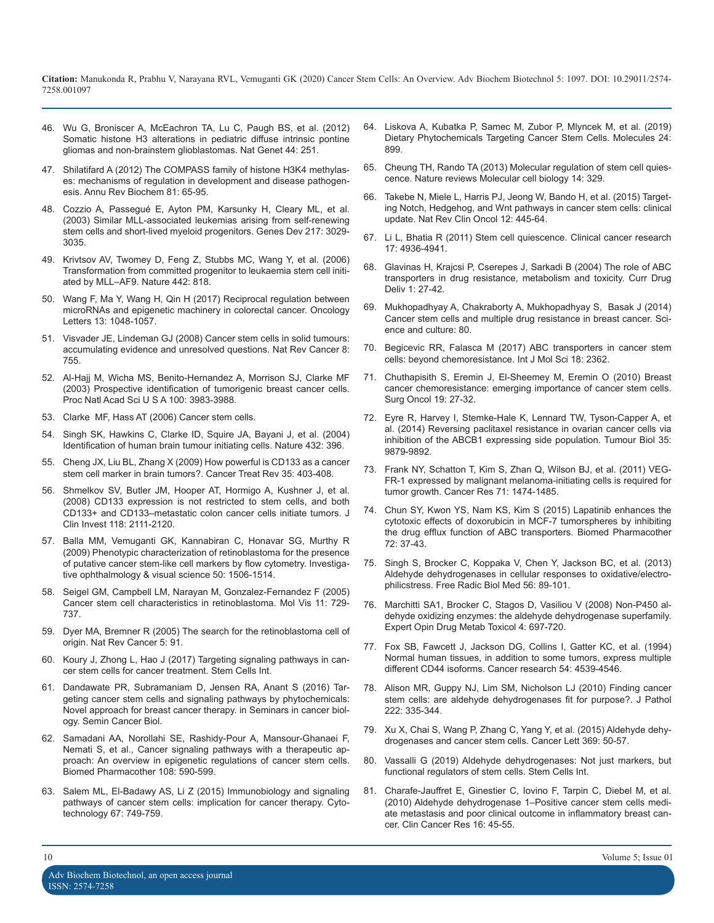- 46. [Wu G, Broniscer A, McEachron TA, Lu C, Paugh BS, et al. \(2012\)](https://www.ncbi.nlm.nih.gov/pubmed/22286216) Somatic histone H3 alterations in pediatric diffuse intrinsic pontine [gliomas and non-brainstem glioblastomas. Nat Genet 44: 251](https://www.ncbi.nlm.nih.gov/pubmed/22286216).
- 47. [Shilatifard A \(2012\) The COMPASS family of histone H3K4 methylas](https://www.ncbi.nlm.nih.gov/pubmed/22663077)es: mechanisms of regulation in development and disease pathogen[esis. Annu Rev Biochem 81: 65-95.](https://www.ncbi.nlm.nih.gov/pubmed/22663077)
- 48. [Cozzio A, Passegué E, Ayton PM, Karsunky H, Cleary ML, et al.](https://www.ncbi.nlm.nih.gov/pubmed/14701873) (2003) Similar MLL-associated leukemias arising from self-renewing [stem cells and short-lived myeloid progenitors. Genes Dev 217: 3029-](https://www.ncbi.nlm.nih.gov/pubmed/14701873) [3035.](https://www.ncbi.nlm.nih.gov/pubmed/14701873)
- 49. [Krivtsov AV, Twomey D, Feng Z, Stubbs MC, Wang Y, et al. \(2006\)](https://www.ncbi.nlm.nih.gov/pubmed/16862118)  Transformation from committed progenitor to leukaemia stem cell initi[ated by MLL–AF9. Nature 442: 818.](https://www.ncbi.nlm.nih.gov/pubmed/16862118)
- 50. [Wang F, Ma Y, Wang H, Qin H \(2017\) Reciprocal regulation between](https://www.spandidos-publications.com/10.3892/ol.2017.5593)  microRNAs and epigenetic machinery in colorectal cancer. Oncology [Letters 13: 1048-1057](https://www.spandidos-publications.com/10.3892/ol.2017.5593).
- 51. [Visvader JE, Lindeman GJ \(2008\) Cancer stem cells in solid tumours:](https://www.ncbi.nlm.nih.gov/pubmed/18784658)  accumulating evidence and unresolved questions. Nat Rev Cancer 8: [755](https://www.ncbi.nlm.nih.gov/pubmed/18784658).
- 52. [Al-Hajj M, Wicha MS, Benito-Hernandez A, Morrison SJ, Clarke MF](https://www.ncbi.nlm.nih.gov/pubmed/12629218) (2003) Prospective identification of tumorigenic breast cancer cells. [Proc Natl Acad Sci U S A 100: 3983-3988.](https://www.ncbi.nlm.nih.gov/pubmed/12629218)
- 53. [Clarke MF, Hass AT \(2006\) Cancer stem cells](https://onlinelibrary.wiley.com/doi/abs/10.1002/3527600906.mcb.200300130).
- 54. [Singh SK, Hawkins C, Clarke ID, Squire JA, Bayani J, et al. \(2004\)](https://www.ncbi.nlm.nih.gov/pubmed/15549107)  Identification of human brain tumour initiating cells. Nature 432: 396.
- 55. [Cheng JX, Liu BL, Zhang X \(2009\) How powerful is CD133 as a cancer](https://www.ncbi.nlm.nih.gov/pubmed/19369008)  stem cell marker in brain tumors?. Cancer Treat Rev 35: 403-408.
- 56. [Shmelkov SV, Butler JM, Hooper AT, Hormigo A, Kushner J, et al.](https://www.ncbi.nlm.nih.gov/pubmed/18497886) (2008) CD133 expression is not restricted to stem cells, and both [CD133+ and CD133–metastatic colon cancer cells initiate tumors. J](https://www.ncbi.nlm.nih.gov/pubmed/18497886) [Clin Invest 118: 2111-2120.](https://www.ncbi.nlm.nih.gov/pubmed/18497886)
- 57. [Balla MM, Vemuganti GK, Kannabiran C, Honavar SG, Murthy R](https://www.ncbi.nlm.nih.gov/pubmed/19029022)  (2009) Phenotypic characterization of retinoblastoma for the presence [of putative cancer stem-like cell markers by flow cytometry. Investiga](https://www.ncbi.nlm.nih.gov/pubmed/19029022)[tive ophthalmology & visual science 50: 1506-1514](https://www.ncbi.nlm.nih.gov/pubmed/19029022).
- 58. [Seigel GM, Campbell LM, Narayan M, Gonzalez-Fernandez F \(2005\)](https://www.ncbi.nlm.nih.gov/pubmed/16179903)  Cancer stem cell characteristics in retinoblastoma. Mol Vis 11: 729- [737](https://www.ncbi.nlm.nih.gov/pubmed/16179903).
- 59. [Dyer MA, Bremner R \(2005\) The search for the retinoblastoma cell of](https://www.ncbi.nlm.nih.gov/pubmed/15685194)  origin. Nat Rev Cancer 5: 91.
- 60. [Koury J, Zhong L, Hao J \(2017\) Targeting signaling pathways in can](https://www.ncbi.nlm.nih.gov/pubmed/28356914)cer stem cells for cancer treatment. Stem Cells Int.
- 61. [Dandawate PR, Subramaniam D, Jensen RA, Anant S \(2016\) Tar](https://www.ncbi.nlm.nih.gov/pubmed/27609747)geting cancer stem cells and signaling pathways by phytochemicals: [Novel approach for breast cancer therapy. in Seminars in cancer biol](https://www.ncbi.nlm.nih.gov/pubmed/27609747)[ogy. Semin Cancer Biol](https://www.ncbi.nlm.nih.gov/pubmed/27609747).
- 62. [Samadani AA, Norollahi SE, Rashidy-Pour A, Mansour-Ghanaei F,](https://www.ncbi.nlm.nih.gov/pubmed/30243093)  Nemati S, et al., Cancer signaling pathways with a therapeutic ap[proach: An overview in epigenetic regulations of cancer stem cells.](https://www.ncbi.nlm.nih.gov/pubmed/30243093)  [Biomed Pharmacother 108: 590-599.](https://www.ncbi.nlm.nih.gov/pubmed/30243093)
- 63. [Salem ML, El-Badawy AS, Li Z \(2015\) Immunobiology and signaling](https://www.ncbi.nlm.nih.gov/pmc/articles/PMC4545436/)  pathways of cancer stem cells: implication for cancer therapy. Cyto[technology 67: 749-759.](https://www.ncbi.nlm.nih.gov/pmc/articles/PMC4545436/)
- 64. [Liskova A, Kubatka P, Samec M, Zubor P, Mlyncek M, et al. \(2019\)](https://www.ncbi.nlm.nih.gov/pmc/articles/PMC6429493/) [Dietary Phytochemicals Targeting Cancer Stem Cells. Molecules 24:](https://www.ncbi.nlm.nih.gov/pubmed/22286216)  [899](https://www.ncbi.nlm.nih.gov/pmc/articles/PMC6429493/).
- 65. [Cheung TH, Rando TA \(2013\) Molecular regulation of stem cell quies](https://www.ncbi.nlm.nih.gov/pubmed/23698583)[cence. Nature reviews Molecular cell biology 14: 329.](https://www.ncbi.nlm.nih.gov/pubmed/22663077)
- 66. [Takebe N, Miele L, Harris PJ, Jeong W, Bando H, et al. \(2015\) Target](https://www.ncbi.nlm.nih.gov/pubmed/25850553)ing Notch, Hedgehog, and Wnt pathways in cancer stem cells: clinical [update. Nat Rev Clin Oncol 12: 445-64.](https://www.ncbi.nlm.nih.gov/pubmed/14701873)
- 67. [Li L, Bhatia R \(2011\) Stem cell quiescence. Clinical cancer research](https://www.ncbi.nlm.nih.gov/pubmed/21593194)  17: 4936-4941.
- 68. [Glavinas H, Krajcsi P, Cserepes J, Sarkadi B \(2004\) The role of ABC](https://www.ncbi.nlm.nih.gov/pubmed/16305368) transporters in drug resistance, metabolism and toxicity. Curr Drug [Deliv 1: 27-42](https://www.ncbi.nlm.nih.gov/pubmed/16305368).
- 69. [Mukhopadhyay A, Chakraborty A, Mukhopadhyay S, Basak J \(2014\)](https://www.researchgate.net/publication/271643181_Cancer_Stem_Cells_and_Multiple_Drug_Resistance_in_Breast_Cancer) Cancer stem cells and multiple drug resistance in breast cancer. Sci[ence and culture: 80](https://www.researchgate.net/publication/271643181_Cancer_Stem_Cells_and_Multiple_Drug_Resistance_in_Breast_Cancer).
- 70. [Begicevic RR, Falasca M \(2017\) ABC transporters in cancer stem](https://www.ncbi.nlm.nih.gov/pubmed/18784658)  cells: beyond chemoresistance. Int J Mol Sci 18: 2362.
- 71. [Chuthapisith S, Eremin J, El-Sheemey M, Eremin O \(2010\) Breast](https://www.ncbi.nlm.nih.gov/pubmed/19251410)  [cancer chemoresistance: emerging importance of cancer stem cells.](https://www.ncbi.nlm.nih.gov/pubmed/12629218)  [Surg Oncol 19: 27-32](https://www.ncbi.nlm.nih.gov/pubmed/19251410).
- 72. [Eyre R, Harvey I, Stemke-Hale K, Lennard TW, Tyson-Capper A, et](https://www.ncbi.nlm.nih.gov/pubmed/24993095)  al. (2014) Reversing paclitaxel resistance in ovarian cancer cells via [inhibition of the ABCB1 expressing side population. Tumour Biol 35:](https://www.ncbi.nlm.nih.gov/pubmed/24993095) [9879-9892](https://www.ncbi.nlm.nih.gov/pubmed/24993095).
- 73. [Frank NY, Schatton T, Kim S, Zhan Q, Wilson BJ, et al. \(2011\) VEG-](https://www.ncbi.nlm.nih.gov/pmc/articles/PMC3083845/)FR-1 expressed by malignant melanoma-initiating cells is required for [tumor growth. Cancer Res 71: 1474-1485](https://www.ncbi.nlm.nih.gov/pmc/articles/PMC3083845/).
- 74. [Chun SY, Kwon YS, Nam KS, Kim S \(2015\) Lapatinib enhances the](https://www.ncbi.nlm.nih.gov/pubmed/26054673) cytotoxic effects of doxorubicin in MCF-7 tumorspheres by inhibiting [the drug efflux function of ABC transporters. Biomed Pharmacother](https://www.ncbi.nlm.nih.gov/pubmed/26054673)  [72: 37-43](https://www.ncbi.nlm.nih.gov/pubmed/26054673)[.](https://www.ncbi.nlm.nih.gov/pubmed/19029022)
- 75. [Singh S, Brocker C, Koppaka V, Chen Y, Jackson BC, et al. \(2013\)](https://www.ncbi.nlm.nih.gov/pubmed/23195683)  Aldehyde dehydrogenases in cellular responses to oxidative/electro[philicstress. Free Radic Biol Med 56: 89-101.](https://www.ncbi.nlm.nih.gov/pubmed/23195683)
- 76. [Marchitti SA1, Brocker C, Stagos D, Vasiliou V \(2008\) Non-P450 al](https://www.ncbi.nlm.nih.gov/pubmed/18611112)dehyde oxidizing enzymes: the aldehyde dehydrogenase superfamily. [Expert Opin Drug Metab Toxicol 4: 697-720](https://www.ncbi.nlm.nih.gov/pubmed/18611112).
- 77. [Fox SB, Fawcett J, Jackson DG, Collins I, Gatter KC, et al. \(1994\)](https://www.ncbi.nlm.nih.gov/pubmed/7519124) Normal human tissues, in addition to some tumors, express multiple [different CD44 isoforms. Cancer research 54: 4539-4546.](https://www.ncbi.nlm.nih.gov/pubmed/28356914)
- 78. [Alison MR, Guppy NJ, Lim SM, Nicholson LJ \(2010\) Finding cancer](https://www.ncbi.nlm.nih.gov/pubmed/20848663)  [stem cells: are aldehyde dehydrogenases fit for purpose?. J Pathol](https://www.ncbi.nlm.nih.gov/pubmed/27609747)  [222: 335-344](https://www.ncbi.nlm.nih.gov/pubmed/20848663).
- 79. [Xu X, Chai S, Wang P, Zhang C, Yang Y, et al. \(2015\) Aldehyde dehy](https://www.ncbi.nlm.nih.gov/pubmed/26319899)[drogenases and cancer stem cells. Cancer Lett 369: 50-57](https://www.ncbi.nlm.nih.gov/pubmed/30243093)[.](https://www.ncbi.nlm.nih.gov/pubmed/26319899)
- 80. [Vassalli G \(2019\) Aldehyde dehydrogenases: Not just markers, but](https://www.ncbi.nlm.nih.gov/pubmed/30733805)  functional regulators of stem cells. Stem Cells Int.
- 81. [Charafe-Jauffret E, Ginestier C, Iovino F, Tarpin C, Diebel M, et al.](https://www.ncbi.nlm.nih.gov/pubmed/20028757)  [\(2010\) Aldehyde dehydrogenase 1–Positive cancer stem cells medi](https://www.ncbi.nlm.nih.gov/pmc/articles/PMC4545436/)[ate metastasis and poor clinical outcome in inflammatory breast can](https://www.ncbi.nlm.nih.gov/pubmed/20028757)[cer. Clin Cancer Res 16: 45-55](https://www.ncbi.nlm.nih.gov/pubmed/20028757).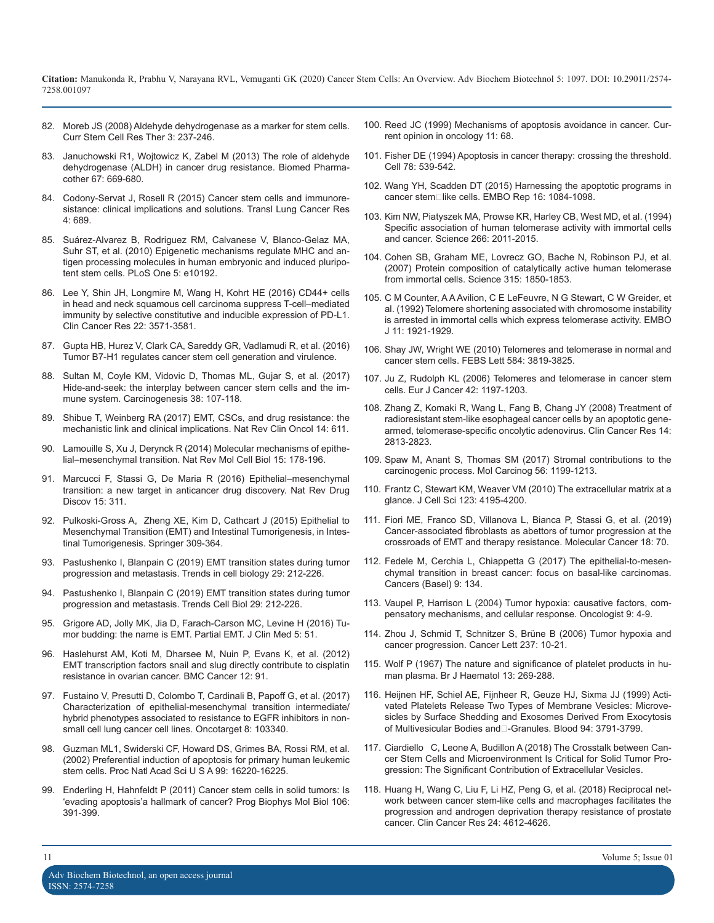- 82. [Moreb JS \(2008\) Aldehyde dehydrogenase as a marker for stem cells.](https://www.ncbi.nlm.nih.gov/pubmed/19075754)  [Curr Stem Cell Res Ther 3: 237-246](https://www.ncbi.nlm.nih.gov/pubmed/19075754)[.](https://journals.lww.com/co-oncology/Abstract/1999/01000/Mechanisms_of_apoptosis_avoidance_in_cancer.14.aspx)
- Januchowski R1, Wojtowicz K, Zabel M (2013) The role of aldehyde [dehydrogenase \(ALDH\) in cancer drug resistance. Biomed Pharma](https://www.ncbi.nlm.nih.gov/pubmed/23721823)[cother 67: 669-680](https://www.ncbi.nlm.nih.gov/pubmed/23721823).
- 84. [Codony-Servat J, Rosell R \(2015\) Cancer stem cells and immunore](https://www.ncbi.nlm.nih.gov/pubmed/26798578)[sistance: clinical implications and solutions. Transl Lung Cancer Res](https://www.ncbi.nlm.nih.gov/pubmed/26798578)  [4: 689](https://www.ncbi.nlm.nih.gov/pubmed/26798578).
- 85. [Suárez-Alvarez B, Rodriguez RM, Calvanese V, Blanco-Gelaz MA,](https://www.ncbi.nlm.nih.gov/pubmed/20419139) [Suhr ST, et al. \(2010\) Epigenetic mechanisms regulate MHC and an](https://www.ncbi.nlm.nih.gov/pubmed/20419139)[tigen processing molecules in human embryonic and induced pluripo](https://www.ncbi.nlm.nih.gov/pubmed/20419139)[tent stem cells. PLoS One 5: e10192](https://www.ncbi.nlm.nih.gov/pubmed/20419139).
- 86. [Lee Y, Shin JH, Longmire M, Wang H, Kohrt HE \(2016\) CD44+ cells](https://www.ncbi.nlm.nih.gov/pubmed/26864211)  [in head and neck squamous cell carcinoma suppress T-cell–mediated](https://www.ncbi.nlm.nih.gov/pubmed/26864211)  [immunity by selective constitutive and inducible expression of PD-L1.](https://www.ncbi.nlm.nih.gov/pubmed/26864211)  [Clin Cancer Res 22: 3571-3581](https://www.ncbi.nlm.nih.gov/pubmed/26864211).
- 87. [Gupta HB, Hurez V, Clark CA, Sareddy GR, Vadlamudi R, et al. \(2016\)](https://www.jimmunol.org/content/196/1_Supplement/72.3)  [Tumor B7-H1 regulates cancer stem cell generation and virulence](https://www.jimmunol.org/content/196/1_Supplement/72.3)[.](https://www.ncbi.nlm.nih.gov/pubmed/20493857)
- 88. [Sultan M, Coyle KM, Vidovic D, Thomas ML, Gujar S, et al. \(2017\)](https://www.ncbi.nlm.nih.gov/pubmed/27866156)  [Hide-and-seek: the interplay between cancer stem cells and the im](https://www.ncbi.nlm.nih.gov/pubmed/27866156)[mune system. Carcinogenesis 38: 107-118](https://www.ncbi.nlm.nih.gov/pubmed/27866156).
- 89. [Shibue T, Weinberg RA \(2017\) EMT, CSCs, and drug resistance: the](https://www.ncbi.nlm.nih.gov/pubmed/28397828) [mechanistic link and clinical implications. Nat Rev Clin Oncol 14: 611](https://www.ncbi.nlm.nih.gov/pubmed/28397828).
- 90. [Lamouille S, Xu J, Derynck R \(2014\) Molecular mechanisms of epithe](https://www.ncbi.nlm.nih.gov/pubmed/24556840)[lial–mesenchymal transition. Nat Rev Mol Cell Biol 15: 178-196](https://www.ncbi.nlm.nih.gov/pubmed/24556840).
- 91. [Marcucci F, Stassi G, De Maria R \(2016\) Epithelial–mesenchymal](https://www.ncbi.nlm.nih.gov/pubmed/26822829)  [transition: a new target in anticancer drug discovery. Nat Rev Drug](https://www.ncbi.nlm.nih.gov/pubmed/26822829)  [Discov 15: 311](https://www.ncbi.nlm.nih.gov/pubmed/26822829).
- 92. [Pulkoski-Gross A, Zheng XE, Kim D, Cathcart J \(2015\) Epithelial to](https://www.researchgate.net/publication/301284123_Epithelial_to_Mesenchymal_Transition_EMT_and_Intestinal_Tumorigenesis)  [Mesenchymal Transition \(EMT\) and Intestinal Tumorigenesis, in Intes](https://www.researchgate.net/publication/301284123_Epithelial_to_Mesenchymal_Transition_EMT_and_Intestinal_Tumorigenesis)[tinal Tumorigenesis. Springer 309-364](https://www.researchgate.net/publication/301284123_Epithelial_to_Mesenchymal_Transition_EMT_and_Intestinal_Tumorigenesis).
- 93. [Pastushenko I, Blanpain C \(2019\) EMT transition states during tumor](https://www.ncbi.nlm.nih.gov/pubmed/30594349) [progression and metastasis. Trends in cell biology 29: 212-226.](https://www.ncbi.nlm.nih.gov/pubmed/30594349)
- 94. [Pastushenko I, Blanpain C \(2019\) EMT transition states during tumor](https://www.ncbi.nlm.nih.gov/pubmed/30594349) [progression and metastasis. Trends Cell Biol 29: 212-226](https://www.ncbi.nlm.nih.gov/pubmed/30594349).
- 95. [Grigore AD, Jolly MK, Jia D, Farach-Carson MC, Levine H \(2016\) Tu](https://www.ncbi.nlm.nih.gov/pmc/articles/PMC4882480/)[mor budding: the name is EMT. Partial EMT. J Clin Med 5: 51](https://www.ncbi.nlm.nih.gov/pmc/articles/PMC4882480/).
- 96. [Haslehurst AM, Koti M, Dharsee M, Nuin P, Evans K, et al. \(2012\)](https://www.ncbi.nlm.nih.gov/pubmed/22429801) [EMT transcription factors snail and slug directly contribute to cisplatin](https://www.ncbi.nlm.nih.gov/pubmed/22429801)  [resistance in ovarian cancer. BMC Cancer 12: 91](https://www.ncbi.nlm.nih.gov/pubmed/22429801)[.](https://www.ncbi.nlm.nih.gov/pubmed/6025241)
- 97. [Fustaino V, Presutti D, Colombo T, Cardinali B, Papoff G, et al. \(2017\)](https://www.ncbi.nlm.nih.gov/pubmed/29262566) [Characterization of epithelial-mesenchymal transition intermediate/](https://www.ncbi.nlm.nih.gov/pubmed/29262566) [hybrid phenotypes associated to resistance to EGFR inhibitors in non](https://www.ncbi.nlm.nih.gov/pubmed/29262566)[small cell lung cancer cell lines. Oncotarget 8: 103340](https://www.ncbi.nlm.nih.gov/pubmed/29262566).
- 98. [Guzman ML1, Swiderski CF, Howard DS, Grimes BA, Rossi RM, et al.](https://www.ncbi.nlm.nih.gov/pubmed/12451177)  [\(2002\) Preferential induction of apoptosis for primary human leukemic](https://www.ncbi.nlm.nih.gov/pubmed/12451177) [stem cells. Proc Natl Acad Sci U S A 99: 16220-16225](https://www.ncbi.nlm.nih.gov/pubmed/12451177).
- 99. [Enderling H, Hahnfeldt P \(2011\) Cancer stem cells in solid tumors: Is](https://www.ncbi.nlm.nih.gov/pubmed/21473880)  ['evading apoptosis'a hallmark of cancer? Prog Biophys Mol Biol 106:](https://www.ncbi.nlm.nih.gov/pubmed/21473880)  [391-399](https://www.ncbi.nlm.nih.gov/pubmed/21473880).
- 100. [Reed JC \(1999\) Mechanisms of apoptosis avoidance in cancer. Cur](https://journals.lww.com/co-oncology/Abstract/1999/01000/Mechanisms_of_apoptosis_avoidance_in_cancer.14.aspx)rent opinion in oncology 11: 68.
- 101. [Fisher DE \(1994\) Apoptosis in cancer therapy: crossing the threshold.](https://www.ncbi.nlm.nih.gov/pubmed/8069905)  Cell 78: 539-542.
- 102. Wang YH, Scadden DT (2015) Harnessing the apoptotic programs in cancer stem□like cells. EMBO Rep 16: 1084-1098.
- 103. [Kim NW, Piatyszek MA, Prowse KR, Harley CB, West MD, et al. \(1994\)](https://www.ncbi.nlm.nih.gov/pubmed/7605428) [Specific association of human telomerase activity with immortal cells](https://www.ncbi.nlm.nih.gov/pubmed/7605428)  [and cancer. Science 266: 2011-2015.](https://www.ncbi.nlm.nih.gov/pubmed/7605428)
- 104. [Cohen SB, Graham ME, Lovrecz GO, Bache N, Robinson PJ, et al.](https://www.ncbi.nlm.nih.gov/pubmed/17395830)  [\(2007\) Protein composition of catalytically active human telomerase](https://www.ncbi.nlm.nih.gov/pubmed/17395830)  [from immortal cells. Science 315: 1850-1853](https://www.ncbi.nlm.nih.gov/pubmed/17395830).
- 105. [C M Counter, A A Avilion, C E LeFeuvre, N G Stewart, C W Greider, et](https://www.ncbi.nlm.nih.gov/pmc/articles/PMC556651/) [al. \(1992\) Telomere shortening associated with chromosome instability](https://www.ncbi.nlm.nih.gov/pmc/articles/PMC556651/)  [is arrested in immortal cells which express telomerase activity. EMBO](https://www.ncbi.nlm.nih.gov/pmc/articles/PMC556651/)  [J 11: 1921-1929](https://www.ncbi.nlm.nih.gov/pmc/articles/PMC556651/).
- 106. [Shay JW, Wright WE \(2010\) Telomeres and telomerase in normal and](https://www.ncbi.nlm.nih.gov/pubmed/20493857)  cancer stem cells. FEBS Lett 584: 3819-3825.
- 107. [Ju Z, Rudolph KL \(2006\) Telomeres and telomerase in cancer stem](https://www.ncbi.nlm.nih.gov/pubmed/16644207)  cells. Eur J Cancer 42: 1197-1203.
- 108. [Zhang Z, Komaki R, Wang L, Fang B, Chang JY \(2008\) Treatment of](https://www.ncbi.nlm.nih.gov/pmc/articles/PMC2387204/) radioresistant stem-like esophageal cancer cells by an apoptotic gene[armed, telomerase-specific oncolytic adenovirus. Clin Cancer Res 14:](https://www.ncbi.nlm.nih.gov/pmc/articles/PMC2387204/)  [2813-2823](https://www.ncbi.nlm.nih.gov/pmc/articles/PMC2387204/).
- 109. [Spaw M, Anant S, Thomas SM \(2017\) Stromal contributions to the](https://www.ncbi.nlm.nih.gov/pubmed/27787930)  [carcinogenic process. Mol Carcinog 56: 1199-1213.](https://www.ncbi.nlm.nih.gov/pubmed/27787930)
- 110. [Frantz C, Stewart KM, Weaver VM \(2010\) The extracellular matrix at a](https://www.ncbi.nlm.nih.gov/pubmed/21123617)  [glance. J Cell Sci 123: 4195-4200.](https://www.ncbi.nlm.nih.gov/pubmed/21123617)
- 111. [Fiori ME, Franco SD, Villanova L, Bianca P, Stassi G, et al. \(2019\)](https://molecular-cancer.biomedcentral.com/articles/10.1186/s12943-019-0994-2) [Cancer-associated fibroblasts as abettors of tumor progression at the](https://molecular-cancer.biomedcentral.com/articles/10.1186/s12943-019-0994-2)  [crossroads of EMT and therapy resistance. Molecular Cancer 18: 70.](https://molecular-cancer.biomedcentral.com/articles/10.1186/s12943-019-0994-2)
- 112. [Fedele M, Cerchia L, Chiappetta G \(2017\) The epithelial-to-mesen](https://www.ncbi.nlm.nih.gov/pubmed/28974015)[chymal transition in breast cancer: focus on basal-like carcinomas.](https://www.ncbi.nlm.nih.gov/pubmed/28974015) [Cancers \(Basel\) 9: 134.](https://www.ncbi.nlm.nih.gov/pubmed/28974015)
- 113. [Vaupel P, Harrison L \(2004\) Tumor hypoxia: causative factors, com](https://www.ncbi.nlm.nih.gov/pubmed/15591417)[pensatory mechanisms, and cellular response. Oncologist 9: 4-9.](https://www.ncbi.nlm.nih.gov/pubmed/15591417)
- 114. [Zhou J, Schmid T, Schnitzer S, Brüne B \(2006\) Tumor hypoxia and](https://www.ncbi.nlm.nih.gov/pubmed/16002209) [cancer progression. Cancer Lett 237: 10-21](https://www.ncbi.nlm.nih.gov/pubmed/16002209).
- 115. [Wolf P \(1967\) The nature and significance of platelet products in hu](https://www.ncbi.nlm.nih.gov/pubmed/6025241)man plasma. Br J Haematol 13: 269-288.
- 116. [Heijnen HF, Schiel AE, Fijnheer R, Geuze HJ, Sixma JJ \(1999\) Acti](https://www.ncbi.nlm.nih.gov/pubmed/10572093)[vated Platelets Release Two Types of Membrane Vesicles: Microve](https://www.ncbi.nlm.nih.gov/pubmed/10572093)[sicles by Surface Shedding and Exosomes Derived From Exocytosis](https://www.ncbi.nlm.nih.gov/pubmed/10572093) of Multivesicular Bodies and -Granules. Blood 94: 3791-3799.
- 117. [Ciardiello C, Leone A, Budillon A \(2018\) The Crosstalk between Can](https://www.hindawi.com/journals/sci/2018/6392198/)cer Stem Cells and Microenvironment Is Critical for Solid Tumor Pro[gression: The Significant Contribution of Extracellular Vesicle](https://www.hindawi.com/journals/sci/2018/6392198/)s.
- 118. [Huang H, Wang C, Liu F, Li HZ, Peng G, et al. \(2018\) Reciprocal net](https://www.ncbi.nlm.nih.gov/pubmed/29691294)[work between cancer stem-like cells and macrophages facilitates the](https://www.ncbi.nlm.nih.gov/pubmed/29691294) [progression and androgen deprivation therapy resistance of prostate](https://www.ncbi.nlm.nih.gov/pubmed/29691294)  [cancer. Clin Cancer Res 24: 4612-4626](https://www.ncbi.nlm.nih.gov/pubmed/29691294).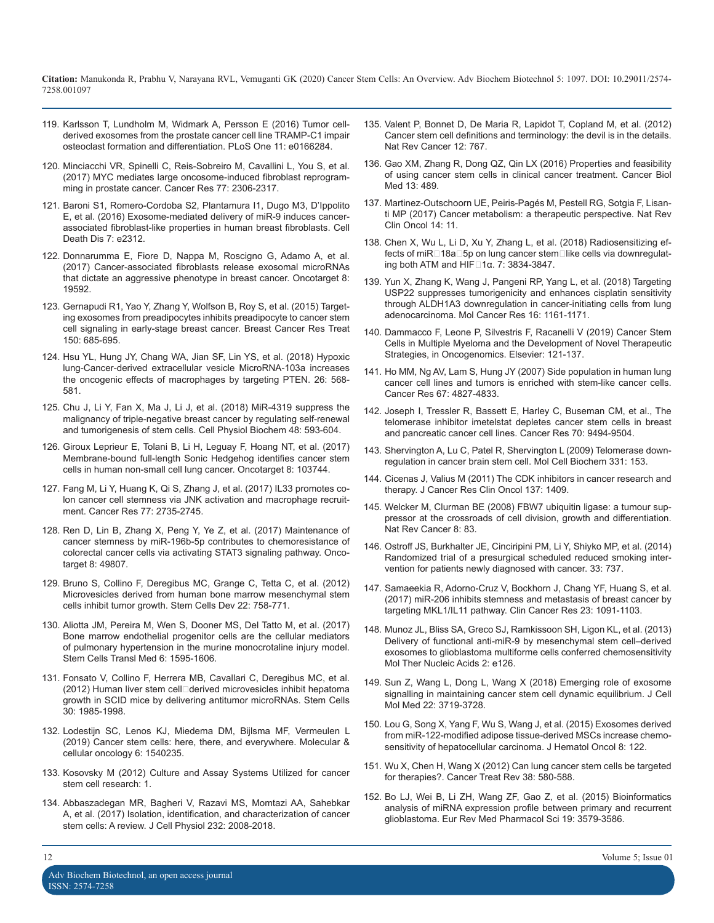- 119. [Karlsson T, Lundholm M, Widmark A, Persson E \(2016\) Tumor cell](https://www.ncbi.nlm.nih.gov/pubmed/27832183)derived exosomes from the prostate cancer cell line TRAMP-C1 impair [osteoclast formation and differentiation. PLoS One 11: e0166284](https://www.ncbi.nlm.nih.gov/pubmed/27832183).
- 120. [Minciacchi VR, Spinelli C, Reis-Sobreiro M, Cavallini L, You S, et al.](https://www.ncbi.nlm.nih.gov/pubmed/28202510) (2017) MYC mediates large oncosome-induced fibroblast reprogram[ming in prostate cancer. Cancer Res 77: 2306-2317](https://www.ncbi.nlm.nih.gov/pubmed/28202510).
- 121. [Baroni S1, Romero-Cordoba S2, Plantamura I1, Dugo M3, D'Ippolito](https://www.ncbi.nlm.nih.gov/pubmed/27468688) E, et al. (2016) Exosome-mediated delivery of miR-9 induces cancer[associated fibroblast-like properties in human breast fibroblasts. Cell](https://www.ncbi.nlm.nih.gov/pubmed/27468688)  [Death Dis 7: e2312](https://www.ncbi.nlm.nih.gov/pubmed/27468688).
- 122. [Donnarumma E, Fiore D, Nappa M, Roscigno G, Adamo A, et al.](https://www.ncbi.nlm.nih.gov/pubmed/28121625)  (2017) Cancer-associated fibroblasts release exosomal microRNAs [that dictate an aggressive phenotype in breast cancer. Oncotarget 8:](https://www.ncbi.nlm.nih.gov/pubmed/28121625)  [19592](https://www.ncbi.nlm.nih.gov/pubmed/28121625).
- 123. [Gernapudi R1, Yao Y, Zhang Y, Wolfson B, Roy S, et al. \(2015\) Target](https://www.ncbi.nlm.nih.gov/pubmed/25783182)ing exosomes from preadipocytes inhibits preadipocyte to cancer stem [cell signaling in early-stage breast cancer. Breast Cancer Res Treat](https://www.ncbi.nlm.nih.gov/pubmed/25783182)  [150: 685-695](https://www.ncbi.nlm.nih.gov/pubmed/25783182).
- 124. [Hsu YL, Hung JY, Chang WA, Jian SF, Lin YS, et al. \(2018\) Hypoxic](https://www.ncbi.nlm.nih.gov/pubmed/29292163)  lung-Cancer-derived extracellular vesicle MicroRNA-103a increases [the oncogenic effects of macrophages by targeting PTEN. 26: 568-](https://www.ncbi.nlm.nih.gov/pubmed/29292163) [581](https://www.ncbi.nlm.nih.gov/pubmed/29292163).
- 125. [Chu J, Li Y, Fan X, Ma J, Li J, et al. \(2018\) MiR-4319 suppress the](https://www.ncbi.nlm.nih.gov/pubmed/30021199) malignancy of triple-negative breast cancer by regulating self-renewal [and tumorigenesis of stem cells. Cell Physiol Biochem 48: 593-604.](https://www.ncbi.nlm.nih.gov/pubmed/30021199)
- 126. [Giroux Leprieur E, Tolani B, Li H, Leguay F, Hoang NT, et al. \(2017\)](https://www.ncbi.nlm.nih.gov/pubmed/29262597) Membrane-bound full-length Sonic Hedgehog identifies cancer stem [cells in human non-small cell lung cancer. Oncotarget 8: 103744](https://www.ncbi.nlm.nih.gov/pubmed/29262597).
- 127. [Fang M, Li Y, Huang K, Qi S, Zhang J, et al. \(2017\) IL33 promotes co](https://www.ncbi.nlm.nih.gov/pubmed/28249897)lon cancer cell stemness via JNK activation and macrophage recruit[ment. Cancer Res 77: 2735-2745](https://www.ncbi.nlm.nih.gov/pubmed/28249897).
- 128. [Ren D, Lin B, Zhang X, Peng Y, Ye Z, et al. \(2017\) Maintenance of](https://www.ncbi.nlm.nih.gov/pubmed/28591704)  cancer stemness by miR-196b-5p contributes to chemoresistance of [colorectal cancer cells via activating STAT3 signaling pathway. Onco](https://www.ncbi.nlm.nih.gov/pubmed/28591704)[target 8: 49807.](https://www.ncbi.nlm.nih.gov/pubmed/28591704)
- 129. [Bruno S, Collino F, Deregibus MC, Grange C, Tetta C, et al. \(2012\)](https://www.ncbi.nlm.nih.gov/pubmed/23034046)  Microvesicles derived from human bone marrow mesenchymal stem [cells inhibit tumor growth. Stem Cells Dev 22: 758-771.](https://www.ncbi.nlm.nih.gov/pubmed/23034046)
- 130. [Aliotta JM, Pereira M, Wen S, Dooner MS, Del Tatto M, et al. \(2017\)](https://www.ncbi.nlm.nih.gov/pubmed/28474513) Bone marrow endothelial progenitor cells are the cellular mediators [of pulmonary hypertension in the murine monocrotaline injury model.](https://www.ncbi.nlm.nih.gov/pubmed/28474513)  [Stem Cells Transl Med 6: 1595-1606.](https://www.ncbi.nlm.nih.gov/pubmed/28474513)
- 131. [Fonsato V, Collino F, Herrera MB, Cavallari C, Deregibus MC, et al.](https://www.ncbi.nlm.nih.gov/pubmed/22736596) (2012) Human liver stem cell□derived microvesicles inhibit hepatoma [growth in SCID mice by delivering antitumor microRNAs. Stem Cells](https://www.ncbi.nlm.nih.gov/pubmed/22736596)  [30: 1985-1998.](https://www.ncbi.nlm.nih.gov/pubmed/22736596)
- 132. [Lodestijn SC, Lenos KJ, Miedema DM, Bijlsma MF, Vermeulen L](https://www.tandfonline.com/doi/full/10.1080/23723556.2018.1540235) (2019) Cancer stem cells: here, there, and everywhere. Molecular & [cellular oncology 6: 1540235.](https://www.tandfonline.com/doi/full/10.1080/23723556.2018.1540235)
- 133. [Kosovsky M \(2012\) Culture and Assay Systems Utilized for cancer](https://www.bdbiosciences.com/documents/ecm_cancer_stem_cell.pdf)  stem cell research: 1.
- 134. [Abbaszadegan MR, Bagheri V, Razavi MS, Momtazi AA, Sahebkar](https://www.ncbi.nlm.nih.gov/pubmed/28019667)  A, et al. (2017) Isolation, identification, and characterization of cancer [stem cells: A review. J Cell Physiol 232: 2008-2018](https://www.ncbi.nlm.nih.gov/pubmed/28019667).
- 135. [Valent P, Bonnet D, De Maria R, Lapidot T, Copland M, et al. \(2012\)](https://www.ncbi.nlm.nih.gov/pubmed/23051844)  [Cancer stem cell definitions and terminology: the devil is in the details.](https://www.ncbi.nlm.nih.gov/pubmed/27832183)  [Nat Rev Cancer 12: 767.](https://www.ncbi.nlm.nih.gov/pubmed/23051844)
- 136. [Gao XM, Zhang R, Dong QZ, Qin LX \(2016\) Properties and feasibility](https://www.ncbi.nlm.nih.gov/pmc/articles/PMC5250607/)  [of using cancer stem cells in clinical cancer treatment. Cancer Biol](https://www.ncbi.nlm.nih.gov/pubmed/28202510) [Med 13: 489](https://www.ncbi.nlm.nih.gov/pmc/articles/PMC5250607/).
- 137. [Martinez-Outschoorn UE, Peiris-Pagés M, Pestell RG, Sotgia F, Lisan](https://www.ncbi.nlm.nih.gov/pubmed/27141887)[ti MP \(2017\) Cancer metabolism: a therapeutic perspective. Nat Rev](https://www.ncbi.nlm.nih.gov/pubmed/27468688) [Clin Oncol 14: 11.](https://www.ncbi.nlm.nih.gov/pubmed/27141887)
- 138. [Chen X, Wu L, Li D, Xu Y, Zhang L, et al. \(2018\) Radiosensitizing ef](https://www.ncbi.nlm.nih.gov/pubmed/29860718)fects of miR□18a□5p on lung cancer stem□like cells via downregulating both ATM and HIF $□1α$ . 7: 3834-3847.
- 139. [Yun X, Zhang K, Wang J, Pangeni RP, Yang L, et al. \(2018\) Targeting](https://www.ncbi.nlm.nih.gov/pubmed/29720480)  USP22 suppresses tumorigenicity and enhances cisplatin sensitivity [through ALDH1A3 downregulation in cancer-initiating cells from lung](https://www.ncbi.nlm.nih.gov/pubmed/29720480)  [adenocarcinoma. Mol Cancer Res 16: 1161-1171.](https://www.ncbi.nlm.nih.gov/pubmed/25783182)
- 140. [Dammacco F, Leone P, Silvestris F, Racanelli V \(2019\) Cancer Stem](https://www.researchgate.net/publication/330053510_Cancer_Stem_Cells_in_Multiple_Myeloma_and_the_Development_of_Novel_Therapeutic_Strategies) Cells in Multiple Myeloma and the Development of Novel Therapeutic [Strategies, in Oncogenomics. Elsevier: 121-137.](https://www.researchgate.net/publication/330053510_Cancer_Stem_Cells_in_Multiple_Myeloma_and_the_Development_of_Novel_Therapeutic_Strategies)
- 141. [Ho MM, Ng AV, Lam S, Hung JY \(2007\) Side population in human lung](https://www.ncbi.nlm.nih.gov/pubmed/17510412) cancer cell lines and tumors is enriched with stem-like cancer cells. [Cancer Res 67: 4827-4833](https://www.ncbi.nlm.nih.gov/pubmed/17510412).
- 142. [Joseph I, Tressler R, Bassett E, Harley C, Buseman CM, et al., The](https://www.ncbi.nlm.nih.gov/pubmed/21062983)  [telomerase inhibitor imetelstat depletes cancer stem cells in breast](https://www.ncbi.nlm.nih.gov/pubmed/30021199) [and pancreatic cancer cell lines. Cancer Res 70: 9494-9504](https://www.ncbi.nlm.nih.gov/pubmed/21062983).
- 143. [Shervington A, Lu C, Patel R, Shervington L \(2009\) Telomerase down](https://www.ncbi.nlm.nih.gov/pubmed/19430894)[regulation in cancer brain stem cell. Mol Cell Biochem 331: 153](https://www.ncbi.nlm.nih.gov/pubmed/29262597)[.](https://www.ncbi.nlm.nih.gov/pubmed/19430894)
- 144. [Cicenas J, Valius M \(2011\) The CDK inhibitors in cancer research and](https://www.ncbi.nlm.nih.gov/pubmed/21877198)  therapy. J Cancer Res Clin Oncol 137: 1409.
- 145. [Welcker M, Clurman BE \(2008\) FBW7 ubiquitin ligase: a tumour sup](https://www.ncbi.nlm.nih.gov/pubmed/18094723)pressor at the crossroads of cell division, growth and differentiation. [Nat Rev Cancer 8: 83.](https://www.ncbi.nlm.nih.gov/pubmed/18094723)
- 146. [Ostroff JS, Burkhalter JE, Cinciripini PM, Li Y, Shiyko MP, et al. \(2014\)](https://www.ncbi.nlm.nih.gov/pubmed/23895203) Randomized trial of a presurgical scheduled reduced smoking inter[vention for patients newly diagnosed with cancer. 33: 737.](https://www.ncbi.nlm.nih.gov/pubmed/23895203)
- 147. [Samaeekia R, Adorno-Cruz V, Bockhorn J, Chang YF, Huang S, et al.](https://www.ncbi.nlm.nih.gov/pubmed/27435395) [\(2017\) miR-206 inhibits stemness and metastasis of breast cancer by](https://www.ncbi.nlm.nih.gov/pubmed/23034046) [targeting MKL1/IL11 pathway. Clin Cancer Res 23: 1091-1103.](https://www.ncbi.nlm.nih.gov/pubmed/27435395)
- 148. [Munoz JL, Bliss SA, Greco SJ, Ramkissoon SH, Ligon KL, et al. \(2013\)](https://www.ncbi.nlm.nih.gov/pubmed/24084846) Delivery of functional anti-miR-9 by mesenchymal stem cell–derived [exosomes to glioblastoma multiforme cells conferred chemosensitivity](https://www.ncbi.nlm.nih.gov/pubmed/24084846)  [Mol Ther Nucleic Acids 2: e126](https://www.ncbi.nlm.nih.gov/pubmed/24084846).
- 149. [Sun Z, Wang L, Dong L, Wang X \(2018\) Emerging role of exosome](https://www.ncbi.nlm.nih.gov/pmc/articles/PMC6050499/)  [signalling in maintaining cancer stem cell dynamic equilibrium. J Cell](https://www.ncbi.nlm.nih.gov/pubmed/22736596) [Mol Med 22: 3719-3728](https://www.ncbi.nlm.nih.gov/pmc/articles/PMC6050499/).
- 150. [Lou G, Song X, Yang F, Wu S, Wang J, et al. \(2015\) Exosomes derived](https://www.ncbi.nlm.nih.gov/pubmed/26514126)  from miR-122-modified adipose tissue-derived MSCs increase chemo[sensitivity of hepatocellular carcinoma. J Hematol Oncol 8: 122](https://www.ncbi.nlm.nih.gov/pubmed/26514126)[.](https://www.tandfonline.com/doi/full/10.1080/23723556.2018.1540235)
- 151. [Wu X, Chen H, Wang X \(2012\) Can lung cancer stem cells be targeted](https://www.ncbi.nlm.nih.gov/pubmed/22436486)  [for therapies?. Cancer Treat Rev 38: 580-588](https://www.bdbiosciences.com/documents/ecm_cancer_stem_cell.pdf)[.](https://www.ncbi.nlm.nih.gov/pubmed/22436486)
- 152. [Bo LJ, Wei B, Li ZH, Wang ZF, Gao Z, et al. \(2015\) Bioinformatics](https://www.ncbi.nlm.nih.gov/pubmed/26502847)  [analysis of miRNA expression profile between primary and recurrent](https://www.ncbi.nlm.nih.gov/pubmed/28019667) [glioblastoma. Eur Rev Med Pharmacol Sci 19: 3579-3586.](https://www.ncbi.nlm.nih.gov/pubmed/26502847)